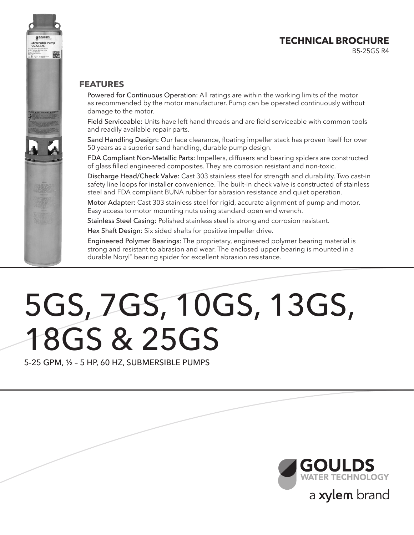### **TECHNICAL BROCHURE**

B5-25GS R4

#### **FEATURES**

Powered for Continuous Operation: All ratings are within the working limits of the motor as recommended by the motor manufacturer. Pump can be operated continuously without damage to the motor.

Field Serviceable: Units have left hand threads and are field serviceable with common tools and readily available repair parts.

Sand Handling Design: Our face clearance, floating impeller stack has proven itself for over 50 years as a superior sand handling, durable pump design.

FDA Compliant Non-Metallic Parts: Impellers, diffusers and bearing spiders are constructed of glass filled engineered composites. They are corrosion resistant and non-toxic.

Discharge Head/Check Valve: Cast 303 stainless steel for strength and durability. Two cast-in safety line loops for installer convenience. The built-in check valve is constructed of stainless steel and FDA compliant BUNA rubber for abrasion resistance and quiet operation.

Motor Adapter: Cast 303 stainless steel for rigid, accurate alignment of pump and motor. Easy access to motor mounting nuts using standard open end wrench.

Stainless Steel Casing: Polished stainless steel is strong and corrosion resistant.

Hex Shaft Design: Six sided shafts for positive impeller drive.

Engineered Polymer Bearings: The proprietary, engineered polymer bearing material is strong and resistant to abrasion and wear. The enclosed upper bearing is mounted in a durable Noryl® bearing spider for excellent abrasion resistance.

# 5GS, 7GS, 10GS, 13GS, 18GS & 25GS

5-25 GPM, ½ – 5 HP, 60 HZ, SUBMERSIBLE PUMPS



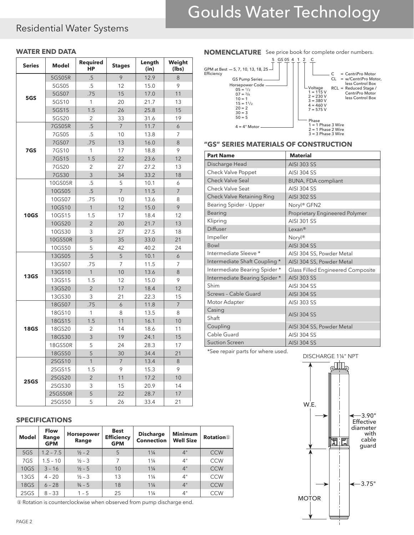### Residential Water Systems

| <b>Series</b> | <b>Model</b> | <b>Required</b><br><b>HP</b> | <b>Stages</b>  | Length<br>(in) | Weight<br>(lbs) |
|---------------|--------------|------------------------------|----------------|----------------|-----------------|
|               | 5GS05R       | .5                           | 9              | 12.9           | 8               |
|               | 5GS05        | .5                           | 12             | 15.0           | 9               |
| 5GS           | 5GS07        | .75                          | 15             | 17.0           | 11              |
|               | 5GS10        | 1                            | 20             | 21.7           | 13              |
|               | 5GS15        | 1.5                          | 26             | 25.8           | 15              |
|               | 5GS20        | $\overline{2}$               | 33             | 31.6           | 19              |
|               | 7GS05R       | $.5\phantom{0}$              | $\overline{7}$ | 11.7           | 6               |
|               | 7GS05        | .5                           | 10             | 13.8           | 7               |
|               | 7GS07        | .75                          | 13             | 16.0           | 8               |
| 7GS           | 7GS10        | 1                            | 17             | 18.8           | 9               |
|               | 7GS15        | 1.5                          | 22             | 23.6           | 12              |
|               | 7GS20        | 2                            | 27             | 27.2           | 13              |
|               | 7GS30        | $\overline{3}$               | 34             | 33.2           | 18              |
|               | 10GS05R      | .5                           | 5              | 10.1           | 6               |
|               | 10GS05       | $.5\,$                       | $\overline{7}$ | 11.5           | $\overline{7}$  |
|               | 10GS07       | .75                          | 10             | 13.6           | 8               |
|               | 10GS10       | $\mathbf{1}$                 | 12             | 15.0           | 9               |
| <b>10GS</b>   | 10GS15       | 1.5                          | 17             | 18.4           | 12              |
|               | 10GS20       | $\overline{2}$               | 20             | 21.7           | 13              |
|               | 10GS30       | 3                            | 27             | 27.5           | 18              |
|               | 10GS50R      | 5                            | 35             | 33.0           | 21              |
|               | 10GS50       | 5                            | 42             | 40.2           | 24              |
|               | 13GS05       | $.5\phantom{0}$              | 5              | 10.1           | 6               |
|               | 13GS07       | .75                          | 7              | 11.5           | 7               |
| <b>13GS</b>   | 13GS10       | $\mathbf{1}$                 | 10             | 13.6           | 8               |
|               | 13GS15       | 1.5                          | 12             | 15.0           | 9               |
|               | 13GS20       | $\overline{2}$               | 17             | 18.4           | 12              |
|               | 13GS30       | 3                            | 21             | 22.3           | 15              |
|               | 18GS07       | .75                          | 6              | 11.8           | $\overline{7}$  |
|               | 18GS10       | 1                            | 8              | 13.5           | 8               |
|               | 18GS15       | 1.5                          | 11             | 16.1           | 10              |
| <b>18GS</b>   | 18GS20       | $\overline{2}$               | 14             | 18.6           | 11              |
|               | 18GS30       | 3                            | 19             | 24.1           | 15              |
|               | 18GS50R      | 5                            | 24             | 28.3           | 17              |
|               | 18GS50       | 5                            | 30             | 34.4           | 21              |
|               | 25GS10       | $\mathbf{1}$                 | $\overline{7}$ | 13.4           | 8               |
|               | 25GS15       | 1.5                          | 9              | 15.3           | 9               |
|               | 25GS20       | $\overline{2}$               | 11             | 17.2           | 10              |
| <b>25GS</b>   | 25GS30       | 3                            | 15             | 20.9           | 14              |
|               | 25GS50R      | 5                            | 22             | 28.7           | 17              |
|               | 25GS50       | 5                            | 26             | 33.4           | 21              |

#### **SPECIFICATIONS**

| <b>Model</b> | <b>Flow</b><br>Range<br><b>GPM</b> | <b>Horsepower</b><br>Range | <b>Best</b><br><b>Efficiency</b><br><b>GPM</b> | <b>Discharge</b><br><b>Connection</b> | <b>Minimum</b><br><b>Well Size</b> | <b>Rotation</b> <sup>1</sup> |
|--------------|------------------------------------|----------------------------|------------------------------------------------|---------------------------------------|------------------------------------|------------------------------|
| 5GS          | $1.2 - 7.5$                        | $\frac{1}{2} - 2$          | 5                                              | $1\frac{1}{4}$                        | 4"                                 | <b>CCW</b>                   |
| 7GS          | $1.5 - 10$                         | $\frac{1}{2} - 3$          | 7                                              | $1\frac{1}{4}$                        | 4"                                 | <b>CCW</b>                   |
| <b>10GS</b>  | $3 - 16$                           | $1/2 - 5$                  | 10                                             | $1\frac{1}{4}$                        | 4"                                 | <b>CCW</b>                   |
| 13GS         | $4 - 20$                           | $\frac{1}{2} - 3$          | 13                                             | $1\frac{1}{4}$                        | 4"                                 | <b>CCW</b>                   |
| <b>18GS</b>  | $6 - 28$                           | $\frac{3}{4} - 5$          | 18                                             | $1\frac{1}{4}$                        | 4"                                 | <b>CCW</b>                   |
| 25GS         | $8 - 33$                           | $1 - 5$                    | 25                                             | $1\frac{1}{4}$                        | 4"                                 | <b>CCW</b>                   |

① Rotation is counterclockwise when observed from pump discharge end.

#### WATER END DATA **NOMENCLATURE** See price book for complete order numbers.



#### **"GS" SERIES MATERIALS OF CONSTRUCTION**

| <b>Part Name</b>                  | <b>Material</b>                   |
|-----------------------------------|-----------------------------------|
| Discharge Head                    | <b>AISI 303 SS</b>                |
| Check Valve Poppet                | <b>AISI 304 SS</b>                |
| <b>Check Valve Seal</b>           | <b>BUNA, FDA compliant</b>        |
| Check Valve Seat                  | <b>AISI 304 SS</b>                |
| <b>Check Valve Retaining Ring</b> | <b>AISI 302 SS</b>                |
| Bearing Spider - Upper            | Noryl® GFN2                       |
| Bearing                           | Proprietary Engineered Polymer    |
| Klipring                          | <b>AISI 301 SS</b>                |
| <b>Diffuser</b>                   | Lexan <sup>®</sup>                |
| Impeller                          | Nory <sup>®</sup>                 |
| Bowl                              | <b>AISI 304 SS</b>                |
| Intermediate Sleeve *             | AISI 304 SS, Powder Metal         |
| Intermediate Shaft Coupling *     | AISI 304 SS, Powder Metal         |
| Intermediate Bearing Spider *     | Glass Filled Engineered Composite |
| Intermediate Bearing Spider *     | <b>AISI 303 SS</b>                |
| Shim                              | <b>AISI 304 SS</b>                |
| Screws - Cable Guard              | <b>AISI 304 SS</b>                |
| Motor Adapter                     | <b>AISI 303 SS</b>                |
| Casing                            |                                   |
| Shaft                             | <b>AISI 304 SS</b>                |
| Coupling                          | AISI 304 SS, Powder Metal         |
| Cable Guard                       | <b>AISI 304 SS</b>                |
| <b>Suction Screen</b>             | <b>AISI 304 SS</b>                |

\*See repair parts for where used.

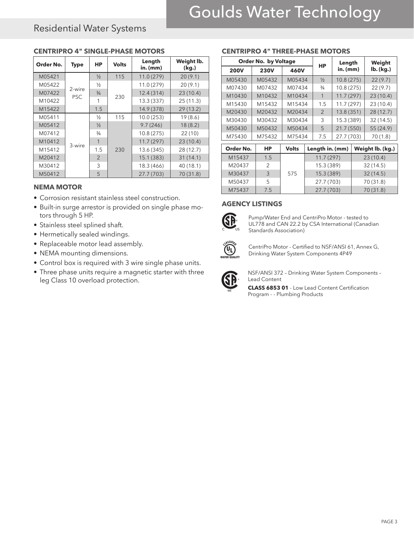### Residential Water Systems

| Order No. | <b>Type</b> | HP            | <b>Volts</b> | Length<br>$in.$ (mm) | Weight lb.<br>(kg.) |
|-----------|-------------|---------------|--------------|----------------------|---------------------|
| M05421    |             | $\frac{1}{2}$ | 115          | 11.0(279)            | 20(9.1)             |
| M05422    | 2-wire      | $\frac{1}{2}$ |              | 11.0 (279)           | 20(9.1)             |
| M07422    | <b>PSC</b>  | $\frac{3}{4}$ | 230          | 12.4(314)            | 23(10.4)            |
| M10422    |             |               |              | 13.3 (337)           | 25(11.3)            |
| M15422    |             | 1.5           |              | 14.9 (378)           | 29(13.2)            |
| M05411    |             | $\frac{1}{2}$ | 115          | 10.0(253)            | 19(8.6)             |
| M05412    |             | $\frac{1}{2}$ |              | 9.7(246)             | 18(8.2)             |
| M07412    |             | $\frac{3}{4}$ |              | 10.8(275)            | 22(10)              |
| M10412    | 3-wire      | 1             |              | 11.7(297)            | 23(10.4)            |
| M15412    |             | 1.5           | 230          | 13.6 (345)           | 28 (12.7)           |
| M20412    |             | $\mathcal{P}$ |              | 15.1 (383)           | 31(14.1)            |
| M30412    |             | 3             |              | 18.3 (466)           | 40 (18.1)           |
| M50412    |             | 5             |              | 27.7 (703)           | 70(31.8)            |

#### **CENTRIPRO 4" SINGLE-PHASE MOTORS CENTRIPRO 4" THREE-PHASE MOTORS**

#### **NEMA MOTOR**

- Corrosion resistant stainless steel construction.
- Built-in surge arrestor is provided on single phase motors through 5 HP.
- Stainless steel splined shaft.
- Hermetically sealed windings.
- Replaceable motor lead assembly.
- NEMA mounting dimensions.
- Control box is required with 3 wire single phase units.
- Three phase units require a magnetic starter with three leg Class 10 overload protection.

|             | <b>Order No. by Voltage</b> |              | <b>HP</b>       | Length     | Weight           |
|-------------|-----------------------------|--------------|-----------------|------------|------------------|
| <b>200V</b> | <b>230V</b>                 | 460V         |                 | in. (mm)   | lb. (kg.)        |
| M05430      | M05432                      | M05434       | $\frac{1}{2}$   | 10.8(275)  | 22(9.7)          |
| M07430      | M07432                      | M07434       | $\frac{3}{4}$   | 10.8(275)  | 22(9.7)          |
| M10430      | M10432                      | M10434       | 1               | 11.7(297)  | 23(10.4)         |
| M15430      | M15432                      | M15434       | 1.5             | 11.7 (297) | 23(10.4)         |
| M20430      | M20432                      | M20434       | 2               | 13.8 (351) | 28(12.7)         |
| M30430      | M30432                      | M30434       | 3               | 15.3 (389) | 32(14.5)         |
| M50430      | M50432                      | M50434       | 5               | 21.7(550)  | 55 (24.9)        |
| M75430      | M75432                      | M75434       | 7.5             | 27.7 (703) | 70 (1.8)         |
| Order No.   | HP                          | <b>Volts</b> | Length in. (mm) |            | Weight lb. (kg.) |
| M15437      | 1.5                         |              | 11.7(297)       |            | 23(10.4)         |
| M20437      | 2                           |              | 15.3 (389)      |            | 32(14.5)         |
| M30437      | 3                           | 575          | 15.3 (389)      |            | 32(14.5)         |
| M50437      | 5                           |              | 27.7 (703)      |            | 70 (31.8)        |
| M75437      | 7.5                         |              | 27.7 (703)      |            | 70 (31.8)        |

#### **AGENCY LISTINGS**



Pump/Water End and CentriPro Motor - tested to UL778 and CAN 22.2 by CSA International (Canadian Standards Association)



CentriPro Motor - Certified to NSF/ANSI 61, Annex G, Drinking Water System Components 4P49



**LLC**

NSF/ANSI 372 – Drinking Water System Components – Lead Content

**CLASS 6853 01** - Low Lead Content Certification Program - - Plumbing Products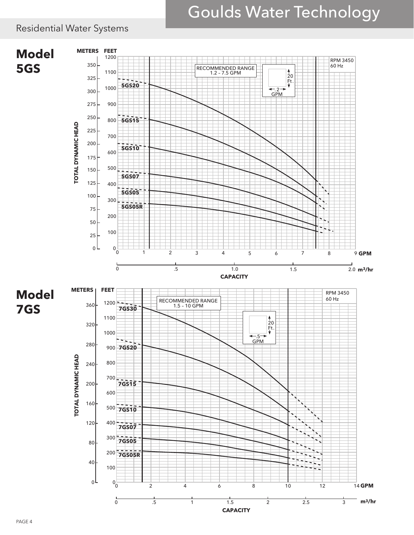### Residential Water Systems

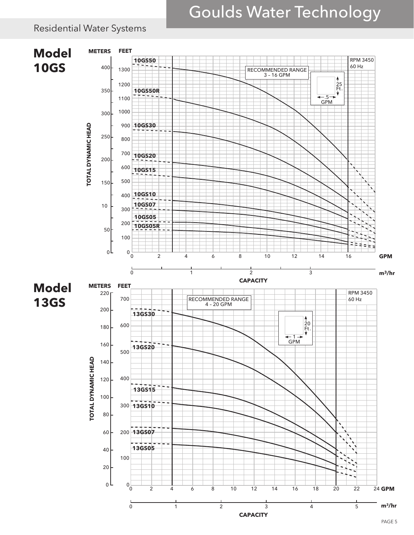### Residential Water Systems

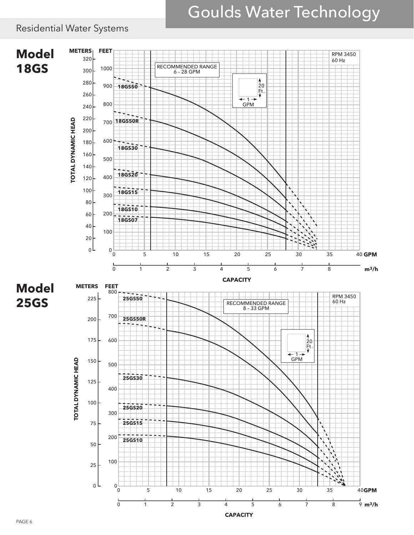### Residential Water Systems

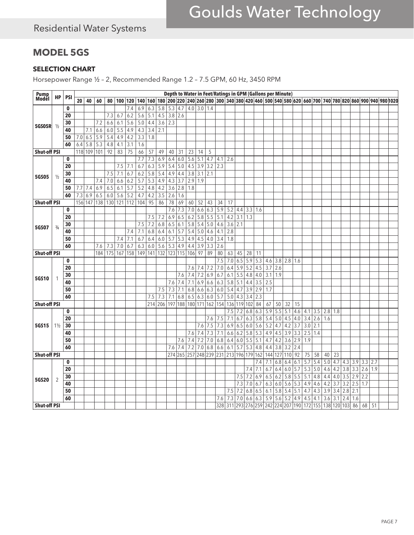### **MODEL 5GS**

#### **SELECTION CHART**

Horsepower Range ½ – 2, Recommended Range 1.2 – 7.5 GPM, 60 Hz, 3450 RPM

| Pump<br>Model       |                |             |     |                  |                  |     |                  |                  |                  |                  |                  |                 |                     |                  |                  |     |            |                 |         |               | Depth to Water in Feet/Ratings in GPM (Gallons per Minute)                                    |         |                  |                       |                  |                  |           |                  |                  |           |     |                                                                                                                                                                                  |    |  |
|---------------------|----------------|-------------|-----|------------------|------------------|-----|------------------|------------------|------------------|------------------|------------------|-----------------|---------------------|------------------|------------------|-----|------------|-----------------|---------|---------------|-----------------------------------------------------------------------------------------------|---------|------------------|-----------------------|------------------|------------------|-----------|------------------|------------------|-----------|-----|----------------------------------------------------------------------------------------------------------------------------------------------------------------------------------|----|--|
|                     | HP             | <b>PSI</b>  | 20  | 40               | 60               |     |                  |                  |                  |                  |                  |                 |                     |                  |                  |     |            |                 |         |               |                                                                                               |         |                  |                       |                  |                  |           |                  |                  |           |     | 80   100   120   140   160   180   200   220   224   260   280   300   340   380   420   460   500   540   580   620   660   700   740   780   820   860   900   940   980   020 |    |  |
|                     |                | $\mathbf 0$ |     |                  |                  |     |                  | 7.4              | 6.9              | 6.3              | 5.8              | 5.3   4.7       |                     |                  | $4.0$ 3.0 1.4    |     |            |                 |         |               |                                                                                               |         |                  |                       |                  |                  |           |                  |                  |           |     |                                                                                                                                                                                  |    |  |
|                     |                | 20          |     |                  |                  | 7.3 | 6.7              | 6.2              | 5.6              | 5.1              | 4.5              | $3.8$ 2.6       |                     |                  |                  |     |            |                 |         |               |                                                                                               |         |                  |                       |                  |                  |           |                  |                  |           |     |                                                                                                                                                                                  |    |  |
|                     |                | 30          |     |                  | 7.2              | 6.6 | 6.1              | 5.6              | 5.0              | 4.4              | 3.6              | 2.3             |                     |                  |                  |     |            |                 |         |               |                                                                                               |         |                  |                       |                  |                  |           |                  |                  |           |     |                                                                                                                                                                                  |    |  |
| 5GS05R              | $\frac{1}{2}$  | 40          |     | 7.1              | 6.6              | 6.0 | $\overline{5.5}$ | 4.9              | 4.3              | 3.4              | $\overline{2.1}$ |                 |                     |                  |                  |     |            |                 |         |               |                                                                                               |         |                  |                       |                  |                  |           |                  |                  |           |     |                                                                                                                                                                                  |    |  |
|                     |                | 50          | 7.0 | 6.5              | $\overline{5.9}$ | 5.4 | 4.9              | 4.2              | 3.3              | 1.8              |                  |                 |                     |                  |                  |     |            |                 |         |               |                                                                                               |         |                  |                       |                  |                  |           |                  |                  |           |     |                                                                                                                                                                                  |    |  |
|                     |                | 60          | 6.4 | $\overline{5.8}$ | $\overline{5.3}$ | 4.8 | 4.1              | 3.1              | 1.6              |                  |                  |                 |                     |                  |                  |     |            |                 |         |               |                                                                                               |         |                  |                       |                  |                  |           |                  |                  |           |     |                                                                                                                                                                                  |    |  |
| <b>Shut-off PSI</b> |                |             |     | 118 109 101      |                  | 92  | 83               | $\overline{75}$  | 66               | $\overline{57}$  | 49               | 40              | $\overline{31}$     | $\overline{23}$  | 14               | 5   |            |                 |         |               |                                                                                               |         |                  |                       |                  |                  |           |                  |                  |           |     |                                                                                                                                                                                  |    |  |
|                     |                | $\mathbf 0$ |     |                  |                  |     |                  |                  | 7.7              | 7.3              | 6.9              | 6.4             | 6.0                 | 5.6              | 5.1              | 4.7 | 4.1        | 2.6             |         |               |                                                                                               |         |                  |                       |                  |                  |           |                  |                  |           |     |                                                                                                                                                                                  |    |  |
|                     |                | 20          |     |                  |                  |     |                  | $7.5$ 7.1        | 6.7              | 6.3              | $\overline{5.9}$ | $5.4$ 5.0       |                     | 4.5              | 3.9              | 3.2 | 2.3        |                 |         |               |                                                                                               |         |                  |                       |                  |                  |           |                  |                  |           |     |                                                                                                                                                                                  |    |  |
|                     |                | 30          |     |                  |                  | 7.5 | 7.1              | 6.7              | 6.2              | $\overline{5.8}$ | 5.4              | 4.9 4.4         |                     | 3.8              | 3.1              | 2.1 |            |                 |         |               |                                                                                               |         |                  |                       |                  |                  |           |                  |                  |           |     |                                                                                                                                                                                  |    |  |
| <b>5GS05</b>        | $\frac{1}{2}$  | 40          |     |                  | 7.4              | 7.0 | 6.6              | 6.2              | $\overline{5.7}$ | 5.3              | 4.9              | 4.3   3.7       |                     | 2.9              | 1.9              |     |            |                 |         |               |                                                                                               |         |                  |                       |                  |                  |           |                  |                  |           |     |                                                                                                                                                                                  |    |  |
|                     |                | 50          |     | $7.7$ 7.4        | 6.9              | 6.5 | 6.1              | $\overline{5.7}$ | $\overline{5.2}$ | $4.8$            | 4.2              | $3.6$ 2.8       |                     | 1.8              |                  |     |            |                 |         |               |                                                                                               |         |                  |                       |                  |                  |           |                  |                  |           |     |                                                                                                                                                                                  |    |  |
|                     |                | 60          | 7.3 | 6.9              | 6.5              | 6.0 | 5.6              | 5.2              | 4.7              | 4.2              | $\overline{3.5}$ | 2.6             | 1.6                 |                  |                  |     |            |                 |         |               |                                                                                               |         |                  |                       |                  |                  |           |                  |                  |           |     |                                                                                                                                                                                  |    |  |
| <b>Shut-off PSI</b> |                |             |     | 156 147          | 138              |     |                  |                  | 130 121 112 104  | $\overline{95}$  | 86               | $\overline{78}$ | 69                  | 60               | $\overline{52}$  | 43  | 34         | 17              |         |               |                                                                                               |         |                  |                       |                  |                  |           |                  |                  |           |     |                                                                                                                                                                                  |    |  |
|                     |                | $\mathbf 0$ |     |                  |                  |     |                  |                  |                  |                  |                  | 7.6             | 7.3                 | 7.0              | 6.6              | 6.3 | 5.9        | 5.2             |         | $4.4$ 3.3 1.6 |                                                                                               |         |                  |                       |                  |                  |           |                  |                  |           |     |                                                                                                                                                                                  |    |  |
|                     |                | 20          |     |                  |                  |     |                  |                  |                  | 7.5              | 7.2              | 6.9             | 6.5                 | 6.2              | $\overline{5.8}$ | 5.5 | 5.1        | 4.2             | 3.1     | 1.3           |                                                                                               |         |                  |                       |                  |                  |           |                  |                  |           |     |                                                                                                                                                                                  |    |  |
|                     |                | 30          |     |                  |                  |     |                  |                  | 7.5              | 7.2              | 6.8              | 6.5   6.1       |                     | 5.8              | 5.4              | 5.0 | 4.6        | 3.6             | 2.1     |               |                                                                                               |         |                  |                       |                  |                  |           |                  |                  |           |     |                                                                                                                                                                                  |    |  |
| <b>5GS07</b>        | $\frac{3}{4}$  | 40          |     |                  |                  |     |                  | 7.4              | 7.1              | 6.8              | 6.4              | $6.1$ 5.7       |                     | $\overline{5.4}$ | 5.0              | 4.6 | 4.1        | 2.8             |         |               |                                                                                               |         |                  |                       |                  |                  |           |                  |                  |           |     |                                                                                                                                                                                  |    |  |
|                     |                | 50          |     |                  |                  |     |                  |                  | 6.7              |                  |                  | $5.7$ 5.3       |                     | 4.9              | 4.5              | 4.0 |            | 1.8             |         |               |                                                                                               |         |                  |                       |                  |                  |           |                  |                  |           |     |                                                                                                                                                                                  |    |  |
|                     |                | 60          |     |                  |                  | 7.3 | 7.4<br>7.0       | 7.1<br>6.7       | 6.3              | 6.4<br>6.0       | 6.0<br>5.6       | 5.3   4.9       |                     | 4.4              | 3.9              | 3.3 | 3.4<br>2.6 |                 |         |               |                                                                                               |         |                  |                       |                  |                  |           |                  |                  |           |     |                                                                                                                                                                                  |    |  |
| <b>Shut-off PSI</b> |                |             |     |                  | 7.6<br>184       |     | 175 167          | 158              | 149              |                  | $141$ 132        |                 | 123 115 106         |                  | $\overline{97}$  | 89  | 80         | 63              | 45      | 28            | 11                                                                                            |         |                  |                       |                  |                  |           |                  |                  |           |     |                                                                                                                                                                                  |    |  |
|                     |                | $\mathbf 0$ |     |                  |                  |     |                  |                  |                  |                  |                  |                 |                     |                  |                  |     | 7.5        | 7.0             | 6.5     | 5.9           | 5.3                                                                                           |         |                  | $4.6$ 3.8 2.8 1.6     |                  |                  |           |                  |                  |           |     |                                                                                                                                                                                  |    |  |
|                     |                | 20          |     |                  |                  |     |                  |                  |                  |                  |                  |                 |                     | 7.6              | 7.4              | 7.2 | 7.0        | 6.4             | 5.9     | 5.2           | 4.5                                                                                           | 3.7     | $\overline{2.6}$ |                       |                  |                  |           |                  |                  |           |     |                                                                                                                                                                                  |    |  |
|                     |                | 30          |     |                  |                  |     |                  |                  |                  |                  |                  |                 | 7.6                 | 7.4              | 7.2              | 6.9 | 6.7        | 6.1             | 5.5     | 4.8           | $4.0\,$                                                                                       | 3.1     | 1.9              |                       |                  |                  |           |                  |                  |           |     |                                                                                                                                                                                  |    |  |
| 5GS10               |                | 40          |     |                  |                  |     |                  |                  |                  |                  |                  | $7.6$ 7.4       |                     | 7.1              | 6.9              | 6.6 | 6.3        | 5.8             | 5.1     | 4.4           | 3.5                                                                                           | 2.5     |                  |                       |                  |                  |           |                  |                  |           |     |                                                                                                                                                                                  |    |  |
|                     |                |             |     |                  |                  |     |                  |                  |                  |                  |                  |                 |                     | 6.8              | 6.6              | 6.3 | 6.0        | 5.4             | 4.7     |               |                                                                                               | 1.7     |                  |                       |                  |                  |           |                  |                  |           |     |                                                                                                                                                                                  |    |  |
|                     |                | 50<br>60    |     |                  |                  |     |                  |                  |                  |                  | 7.5              | $7.3$ 7.1       |                     |                  | 6.5   6.3        | 6.0 |            |                 | 4.3     | 3.9           | 2.9                                                                                           |         |                  |                       |                  |                  |           |                  |                  |           |     |                                                                                                                                                                                  |    |  |
|                     |                |             |     |                  |                  |     |                  |                  |                  | 7.5              | 7.3              | 7.1   6.8       |                     |                  |                  |     | 5.7        | 5.0             |         | 3.4           | 2.3                                                                                           |         |                  |                       |                  |                  |           |                  |                  |           |     |                                                                                                                                                                                  |    |  |
| <b>Shut-off PSI</b> |                |             |     |                  |                  |     |                  |                  |                  | 214              |                  |                 | 206 197 188 180 171 |                  |                  | 162 | 154        | 136             | 119 102 |               | 84                                                                                            | 67      | 50               | 32                    | 15               |                  |           |                  |                  |           |     |                                                                                                                                                                                  |    |  |
|                     |                | $\mathbf 0$ |     |                  |                  |     |                  |                  |                  |                  |                  |                 |                     |                  |                  |     |            | 7.5             | 7.2     | 6.8           | 6.3                                                                                           | 5.9     | 5.5              | 5.1                   | 4.6              |                  |           | 4.1 3.5 2.8 1.8  |                  |           |     |                                                                                                                                                                                  |    |  |
|                     |                | 20          |     |                  |                  |     |                  |                  |                  |                  |                  |                 |                     |                  |                  | 7.6 | 7.5        | 7.1             | 6.7     | 6.3           | 5.8                                                                                           | 5.4     | $\overline{5.0}$ | 4.5                   | 4.0              | $\overline{3.4}$ | $2.6$ 1.6 |                  |                  |           |     |                                                                                                                                                                                  |    |  |
| 5GS15               | $1\frac{1}{2}$ | 30          |     |                  |                  |     |                  |                  |                  |                  |                  |                 |                     |                  | 7.6              | 7.5 | 7.3        | 6.9             | 6.5     | 6.0           | 5.6                                                                                           | 5.2     | 4.7              | 4.2                   | 3.7              | 3.0              | 2.1       |                  |                  |           |     |                                                                                                                                                                                  |    |  |
|                     |                | 40          |     |                  |                  |     |                  |                  |                  |                  |                  |                 |                     | 7.6              | 7.4              | 7.3 | 7.1        | 6.6             | 6.2     | 5.8           | 5.3                                                                                           | 4.9     |                  | $4.5$ 3.9 3.3 2.5 1.4 |                  |                  |           |                  |                  |           |     |                                                                                                                                                                                  |    |  |
|                     |                | 50          |     |                  |                  |     |                  |                  |                  |                  |                  |                 | 7.6                 | 7.4              | 7.2              | 7.0 | 6.8        | 6.4             | 6.0     | 5.5           | $\overline{5.1}$                                                                              | 4.7     | 4.2              | 3.6                   | 2.9              | 1.9              |           |                  |                  |           |     |                                                                                                                                                                                  |    |  |
|                     |                | 60          |     |                  |                  |     |                  |                  |                  |                  |                  | 7.6             | 7.4                 | 7.2              | $7.0$            | 6.8 | 6.6        | 6.1             | 5.7     | 5.3           | 4.8                                                                                           | 4.4     | 3.8              | $\overline{3.2}$      | 2.4              |                  |           |                  |                  |           |     |                                                                                                                                                                                  |    |  |
| <b>Shut-off PSI</b> |                |             |     |                  |                  |     |                  |                  |                  |                  |                  |                 | 274 265             | 257              | 248 239          |     | 231        | 213 196 179 162 |         |               |                                                                                               | 144 127 |                  | 110                   | $\overline{92}$  | 75               | 58        | 40               | 23               |           |     |                                                                                                                                                                                  |    |  |
|                     |                | $\mathbf 0$ |     |                  |                  |     |                  |                  |                  |                  |                  |                 |                     |                  |                  |     |            |                 |         |               | 7.4                                                                                           | 7.1     | 6.8              | 6.4                   | 6.1              | 5.7              | 5.4       | $5.0$            | 4.7              | 4.3   3.9 |     | 3.3 2.7                                                                                                                                                                          |    |  |
|                     |                | 20          |     |                  |                  |     |                  |                  |                  |                  |                  |                 |                     |                  |                  |     |            |                 |         | 7.4           | 7.1                                                                                           | 6.7     | 6.4              | 6.0                   | 5.7              | $5.3$ 5.0        |           | 4.6              |                  |           |     | $4.2$ 3.8 3.3 2.6 1.9                                                                                                                                                            |    |  |
| <b>5GS20</b>        | 2              | 30          |     |                  |                  |     |                  |                  |                  |                  |                  |                 |                     |                  |                  |     |            |                 | 7.5     | 7.2           | 6.9                                                                                           | 6.5     | 6.2              | 5.8                   | 5.5              | 5.1              | 4.8       | 4.4              | 4.0              | $3.5$ 2.9 |     | 2.2                                                                                                                                                                              |    |  |
|                     |                | 40          |     |                  |                  |     |                  |                  |                  |                  |                  |                 |                     |                  |                  |     |            |                 | 7.3     | 7.0           | 6.7                                                                                           | 6.3     |                  | $6.0$ 5.6 5.3         |                  | 4.9 4.6          |           | 4.2              | 3.7              | 3.2       | 2.5 | 1.7                                                                                                                                                                              |    |  |
|                     |                | 50          |     |                  |                  |     |                  |                  |                  |                  |                  |                 |                     |                  |                  |     |            | 7.5             | 7.2     | 6.8           | 6.5                                                                                           | 6.1     | 5.8              | 5.4                   | $\overline{5.1}$ | 4.7              | 4.3       | $\overline{3.9}$ | $\overline{3.4}$ | 2.8       | 2.1 |                                                                                                                                                                                  |    |  |
|                     |                | 60          |     |                  |                  |     |                  |                  |                  |                  |                  |                 |                     |                  |                  |     | 7.6        | 7.3             | 7.0     |               | $\left  6.6 \right  6.3 \left  5.9 \right  5.6 \left  5.2 \right  4.9 \left  4.5 \right  4.1$ |         |                  |                       |                  |                  |           | 3.6              | 3.1              | 2.4       | 1.6 |                                                                                                                                                                                  |    |  |
| <b>Shut-off PSI</b> |                |             |     |                  |                  |     |                  |                  |                  |                  |                  |                 |                     |                  |                  |     |            |                 |         |               | 328 311 293 276 259 242 224 207 190 172 155 138 120 103                                       |         |                  |                       |                  |                  |           |                  |                  |           | 86  | 68                                                                                                                                                                               | 51 |  |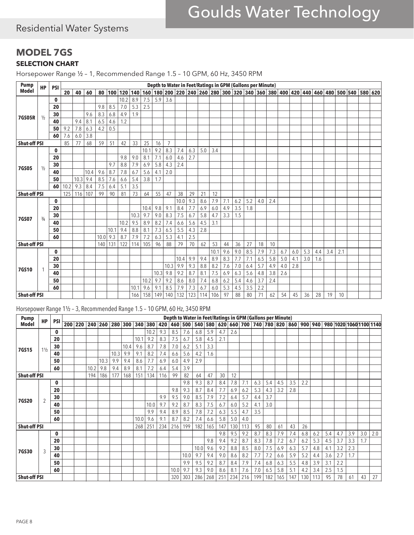### Residential Water Systems

#### **MODEL 7GS SELECTION CHART**

Horsepower Range ½ – 1, Recommended Range 1.5 – 10 GPM, 60 Hz, 3450 RPM

| <b>Pump</b>         | <b>HP</b>     | <b>PSI</b>  |      |      |      |      |      |         |      |      |      |                |      |     |     |      |     | Depth to Water in Feet/Ratings in GPM (Gallons per Minute)                                          |     |     |     |     |     |     |     |     |     |                 |  |
|---------------------|---------------|-------------|------|------|------|------|------|---------|------|------|------|----------------|------|-----|-----|------|-----|-----------------------------------------------------------------------------------------------------|-----|-----|-----|-----|-----|-----|-----|-----|-----|-----------------|--|
| <b>Model</b>        |               |             | 20   | 40   | 60   | 80   | 100  | 120 140 |      |      |      |                |      |     |     |      |     | 160   180   200   220   240   260   280   300   320   340   360   380   400   420   440   460   480 |     |     |     |     |     |     |     |     |     | 500 540 580 620 |  |
|                     |               | $\mathbf 0$ |      |      |      |      |      | 10.2    | 8.9  | 7.5  | 5.9  | 3.6            |      |     |     |      |     |                                                                                                     |     |     |     |     |     |     |     |     |     |                 |  |
|                     |               | 20          |      |      |      | 9.8  | 8.5  | 7.0     | 5.3  | 2.5  |      |                |      |     |     |      |     |                                                                                                     |     |     |     |     |     |     |     |     |     |                 |  |
|                     |               | 30          |      |      | 9.6  | 8.3  | 6.8  | 4.9     | 1.9  |      |      |                |      |     |     |      |     |                                                                                                     |     |     |     |     |     |     |     |     |     |                 |  |
| <b>7GS05R</b>       | $\frac{1}{2}$ | 40          |      | 9.4  | 8.1  | 6.5  | 4.6  | 1.2     |      |      |      |                |      |     |     |      |     |                                                                                                     |     |     |     |     |     |     |     |     |     |                 |  |
|                     |               | 50          | 9.2  | 7.8  | 6.3  | 4.2  | 0.5  |         |      |      |      |                |      |     |     |      |     |                                                                                                     |     |     |     |     |     |     |     |     |     |                 |  |
|                     |               | 60          | 7.6  | 6.0  | 3.8  |      |      |         |      |      |      |                |      |     |     |      |     |                                                                                                     |     |     |     |     |     |     |     |     |     |                 |  |
| <b>Shut-off PSI</b> |               |             | 85   | 77   | 68   | 59   | 51   | 42      | 33   | 25   | 16   | $\overline{7}$ |      |     |     |      |     |                                                                                                     |     |     |     |     |     |     |     |     |     |                 |  |
|                     |               | $\mathbf 0$ |      |      |      |      |      |         |      | 10.1 | 9.2  | 8.3            | 7.4  | 6.3 | 5.0 | 3.4  |     |                                                                                                     |     |     |     |     |     |     |     |     |     |                 |  |
|                     |               | 20          |      |      |      |      |      | 9.8     | 9.0  | 8.1  | 7.1  | 6.0            | 4.6  | 2.7 |     |      |     |                                                                                                     |     |     |     |     |     |     |     |     |     |                 |  |
|                     |               | 30          |      |      |      |      | 9.7  | 8.8     | 7.9  | 6.9  | 5.8  | 4.3            | 2.4  |     |     |      |     |                                                                                                     |     |     |     |     |     |     |     |     |     |                 |  |
| <b>7GS05</b>        | $\frac{1}{2}$ | 40          |      |      | 10.4 | 9.6  | 8.7  | 7.8     | 6.7  | 5.6  | 4.1  | 2.0            |      |     |     |      |     |                                                                                                     |     |     |     |     |     |     |     |     |     |                 |  |
|                     |               | 50          |      | 10.3 | 9.4  | 8.5  | 7.6  | 6.6     | 5.4  | 3.8  | 1.7  |                |      |     |     |      |     |                                                                                                     |     |     |     |     |     |     |     |     |     |                 |  |
|                     |               | 60          | 10.2 | 9.3  | 8.4  | 7.5  | 6.4  | 5.1     | 3.5  |      |      |                |      |     |     |      |     |                                                                                                     |     |     |     |     |     |     |     |     |     |                 |  |
| <b>Shut-off PSI</b> |               |             | 125  | 116  | 107  | 99   | 90   | 81      | 73   | 64   | 55   | 47             | 38   | 29  | 21  | 12   |     |                                                                                                     |     |     |     |     |     |     |     |     |     |                 |  |
|                     |               | $\mathbf 0$ |      |      |      |      |      |         |      |      |      |                | 10.0 | 9.3 | 8.6 | 7.9  | 7.1 | 6.2                                                                                                 | 5.2 | 4.0 | 2.4 |     |     |     |     |     |     |                 |  |
|                     |               | 20          |      |      |      |      |      |         |      | 10.4 | 9.8  | 9.1            | 8.4  | 7.7 | 6.9 | 6.0  | 4.9 | 3.5                                                                                                 | 1.8 |     |     |     |     |     |     |     |     |                 |  |
|                     |               | 30          |      |      |      |      |      |         | 10.3 | 9.7  | 9.0  | 8.3            | 7.5  | 6.7 | 5.8 | 4.7  | 3.3 | 1.5                                                                                                 |     |     |     |     |     |     |     |     |     |                 |  |
| <b>7GS07</b>        | $\frac{3}{4}$ | 40          |      |      |      |      |      | 10.2    | 9.5  | 8.9  | 8.2  | 7.4            | 6.6  | 5.6 | 4.5 | 3.1  |     |                                                                                                     |     |     |     |     |     |     |     |     |     |                 |  |
|                     |               | 50          |      |      |      |      | 10.1 | 9.4     | 8.8  | 8.1  | 7.3  | 6.5            | 5.5  | 4.3 | 2.8 |      |     |                                                                                                     |     |     |     |     |     |     |     |     |     |                 |  |
|                     |               | 60          |      |      |      | 10.0 | 9.3  | 8.7     | 7.9  | 7.2  | 6.3  | 5.3            | 4.1  | 2.5 |     |      |     |                                                                                                     |     |     |     |     |     |     |     |     |     |                 |  |
| <b>Shut-off PSI</b> |               |             |      |      |      | 140  | 131  | 122     | 114  | 105  | 96   | 88             | 79   | 70  | 62  | 53   | 44  | 36                                                                                                  | 27  | 18  | 10  |     |     |     |     |     |     |                 |  |
|                     |               | $\mathbf 0$ |      |      |      |      |      |         |      |      |      |                |      |     |     | 10.1 | 9.6 | 9.0                                                                                                 | 8.5 | 7.9 | 7.3 | 6.7 | 6.0 | 5.3 | 4.4 | 3.4 | 2.1 |                 |  |
|                     |               | 20          |      |      |      |      |      |         |      |      |      |                | 10.4 | 9.9 | 9.4 | 8.9  | 8.3 | 7.7                                                                                                 | 7.1 | 6.5 | 5.8 | 5.0 | 4.1 | 3.0 | 1.6 |     |     |                 |  |
|                     |               | 30          |      |      |      |      |      |         |      |      |      | 10.3           | 9.9  | 9.3 | 8.8 | 8.2  | 7.6 | 7.0                                                                                                 | 6.4 | 5.7 | 4.9 | 4.0 | 2.8 |     |     |     |     |                 |  |
| <b>7GS10</b>        |               | 40          |      |      |      |      |      |         |      |      | 10.3 | 9.8            | 9.2  | 8.7 | 8.1 | 7.5  | 6.9 | 6.3                                                                                                 | 5.6 | 4.8 | 3.8 | 2.6 |     |     |     |     |     |                 |  |
|                     |               | 50          |      |      |      |      |      |         |      | 10.2 | 9.7  | 9.2            | 8.6  | 8.0 | 7.4 | 6.8  | 6.2 | 5.4                                                                                                 | 4.6 | 3.7 | 2.4 |     |     |     |     |     |     |                 |  |
|                     |               | 60          |      |      |      |      |      |         | 10.7 | 9.6  | 9.1  | 8.5            | 7.9  | 7.3 | 6.7 | 6.0  | 5.3 | 4.5                                                                                                 | 3.5 | 2.2 |     |     |     |     |     |     |     |                 |  |
| <b>Shut-off PSI</b> |               |             |      |      |      |      |      |         | 166  | 158  | 149  | 140            | 132  | 123 | 114 | 106  | 97  | 88                                                                                                  | 80  | 71  | 62  | 54  | 45  | 36  | 28  | 19  | 10  |                 |  |

#### Horsepower Range 1½ – 3, Recommended Range 1.5 – 10 GPM, 60 Hz, 3450 RPM

| <b>Pump</b>         |                |             |         |      |      |                 |      |      |         |     |      |         |      |         |     |     | Depth to Water in Feet/Ratings in GPM (Gallons per Minute) |     |     |     |     |     |                                     |     |     |                |     |                         |
|---------------------|----------------|-------------|---------|------|------|-----------------|------|------|---------|-----|------|---------|------|---------|-----|-----|------------------------------------------------------------|-----|-----|-----|-----|-----|-------------------------------------|-----|-----|----------------|-----|-------------------------|
| <b>Model</b>        | <b>HP</b>      | <b>PSI</b>  | 200 220 |      |      | 240 260 280 300 |      |      | 340 380 | 420 |      | 460 500 |      | 540 580 |     |     |                                                            |     |     |     |     |     | 620 660 700 740 780 820 860 900 940 |     |     |                |     | 980 1020 1060 1100 1140 |
|                     |                | $\mathbf 0$ |         |      |      |                 |      |      | 10.2    | 9.3 | 8.5  | 7.6     | 6.8  | 5.9     | 4.7 | 2.6 |                                                            |     |     |     |     |     |                                     |     |     |                |     |                         |
|                     |                | 20          |         |      |      |                 |      | 10.1 | 9.2     | 8.3 | 7.5  | 6.7     | 5.8  | 4.5     | 2.1 |     |                                                            |     |     |     |     |     |                                     |     |     |                |     |                         |
| 7GS15               | $1\frac{1}{2}$ | 30          |         |      |      |                 | 10.4 | 9.6  | 8.7     | 7.8 | 7.0  | 6.2     | 5.1  | 3.3     |     |     |                                                            |     |     |     |     |     |                                     |     |     |                |     |                         |
|                     |                | 40          |         |      |      | 10.3            | 9.9  | 9.1  | 8.2     | 7.4 | 6.6  | 5.6     | 4.2  | 1.6     |     |     |                                                            |     |     |     |     |     |                                     |     |     |                |     |                         |
|                     |                | 50          |         |      | 10.3 | 9.9             | 9.4  | 8.6  | 7.7     | 6.9 | 6.0  | 4.9     | 2.9  |         |     |     |                                                            |     |     |     |     |     |                                     |     |     |                |     |                         |
|                     |                | 60          |         | 10.2 | 9.8  | 9.4             | 8.9  | 8.1  | 7.2     | 6.4 | 5.4  | 3.9     |      |         |     |     |                                                            |     |     |     |     |     |                                     |     |     |                |     |                         |
| <b>Shut-off PSI</b> |                |             |         | 194  | 186  | 177             | 168  | 151  | 134     | 116 | 99   | 82      | 64   | 47      | 30  | 12  |                                                            |     |     |     |     |     |                                     |     |     |                |     |                         |
|                     |                | $\mathbf 0$ |         |      |      |                 |      |      |         |     |      | 9.8     | 9.3  | 8.7     | 8.4 | 7.8 | 7.1                                                        | 6.3 | 5.4 | 4.5 | 3.5 | 2.2 |                                     |     |     |                |     |                         |
|                     |                | 20          |         |      |      |                 |      |      |         |     | 9.8  | 9.3     | 8.7  | 8.4     | 7.7 | 6.9 | 6.2                                                        | 5.3 | 4.3 | 3.2 | 2.8 |     |                                     |     |     |                |     |                         |
| <b>7GS20</b>        | $\overline{2}$ | 30          |         |      |      |                 |      |      |         | 9.9 | 9.5  | 9.0     | 8.5  | 7.9     | 7.2 | 6.4 | 5.7                                                        | 4.4 | 3.7 |     |     |     |                                     |     |     |                |     |                         |
|                     |                | 40          |         |      |      |                 |      |      | 10.0    | 9.7 | 9.2  | 8.7     | 8.3  | 7.5     | 6.7 | 6.0 | 5.2                                                        | 4.1 | 3.0 |     |     |     |                                     |     |     |                |     |                         |
|                     |                | 50          |         |      |      |                 |      |      | 9.9     | 9.4 | 8.9  | 8.5     | 7.8  | 7.2     | 6.3 | 5.5 | 4.7                                                        | 3.5 |     |     |     |     |                                     |     |     |                |     |                         |
|                     |                | 60          |         |      |      |                 |      | 10.0 | 9.6     | 9.1 | 8.7  | 8.2     | 7.4  | 6.6     | 5.8 | 5.0 | 4.0                                                        |     |     |     |     |     |                                     |     |     |                |     |                         |
| <b>Shut-off PSI</b> |                |             |         |      |      |                 |      | 268  | 251     | 234 | 216  | 199     | 182  | 165     | 147 | 130 | 113                                                        | 95  | 80  | 61  | 43  | 26  |                                     |     |     |                |     |                         |
|                     |                | $\mathbf 0$ |         |      |      |                 |      |      |         |     |      |         |      |         | 9.8 | 9.5 | 9.2                                                        | 8.7 | 8.3 | 7.9 | 7.4 | 6.8 | 6.2                                 | 5.4 | 4.7 | 3.9            | 3.0 | 2.0                     |
|                     |                | 20          |         |      |      |                 |      |      |         |     |      |         |      | 9.8     | 9.4 | 9.2 | 8.7                                                        | 8.3 | 7.8 | 7.2 | 6.7 | 6.2 | 5.3                                 | 4.5 | 3.7 | 3.3            | 1.7 |                         |
| <b>7GS30</b>        | 3              | 30          |         |      |      |                 |      |      |         |     |      |         | 10.0 | 9.6     | 9.2 | 8.8 | 8.5                                                        | 8.0 | 7.5 | 6.9 | 6.3 | 5.7 | 4.8                                 | 4.1 | 3.2 | 2.3            |     |                         |
|                     |                | 40          |         |      |      |                 |      |      |         |     |      | 10.0    | 9.7  | 9.4     | 9.0 | 8.6 | 8.2                                                        | 7.7 | 7.2 | 6.6 | 5.9 | 5.2 | 4.4                                 | 3.6 | 2.7 | 1.7            |     |                         |
|                     |                | 50          |         |      |      |                 |      |      |         |     |      | 9.9     | 9.5  | 9.2     | 8.7 | 8.4 | 7.9                                                        | 7.4 | 6.8 | 6.3 | 5.5 | 4.8 | 3.9                                 | 3.1 | 2.2 |                |     |                         |
|                     |                | 60          |         |      |      |                 |      |      |         |     | 10.0 | 9.7     | 9.3  | 9.0     | 8.6 | 8.1 | 7.6                                                        | 7.0 | 6.5 | 5.8 | 5.1 | 4.2 | 3.4                                 | 2.5 | 1.5 |                |     |                         |
| <b>Shut-off PSI</b> |                |             |         |      |      |                 |      |      |         |     | 320  | 303     | 286  | 268     | 251 | 234 | 216                                                        | 199 | 182 | 165 | 147 | 130 | 113                                 | 95  | 78  | 6 <sup>1</sup> | 43  | 27                      |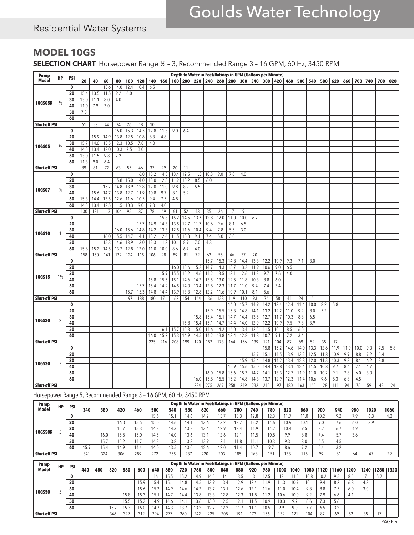### Residential Water Systems

### **MODEL 10GS**

**SELECTION CHART** Horsepower Range ½ – 3, Recommended Range 3 – 16 GPM, 60 Hz, 3450 RPM

| Pump                |                |                   |      |      |      |      |      |      |      |      |              |              |              |              |                                         |              |              |              | Depth to Water in Feet/Ratings in GPM (Gallons per Minute) |            |            |      |      |      |      |      |      |     |     |     |
|---------------------|----------------|-------------------|------|------|------|------|------|------|------|------|--------------|--------------|--------------|--------------|-----------------------------------------|--------------|--------------|--------------|------------------------------------------------------------|------------|------------|------|------|------|------|------|------|-----|-----|-----|
| Model               | HP             | PSI               | 20   | 40   | 60   | 80   | 100  | 120  | 140  | 160  |              |              |              |              | 180   200   220   240   260   280   300 |              |              |              | 340 380 420                                                |            | 460        | 500  | 540  | 580  | 620  | 660  | 700  | 740 | 780 | 820 |
|                     |                | 0                 |      |      | 15.6 | 14.0 | 12.4 | 10.4 | 6.5  |      |              |              |              |              |                                         |              |              |              |                                                            |            |            |      |      |      |      |      |      |     |     |     |
|                     |                | 20                | 15.4 | 13.5 | 11.5 | 9.2  | 6.0  |      |      |      |              |              |              |              |                                         |              |              |              |                                                            |            |            |      |      |      |      |      |      |     |     |     |
|                     |                | 30                | 13.0 | 11.1 | 8.0  | 4.0  |      |      |      |      |              |              |              |              |                                         |              |              |              |                                                            |            |            |      |      |      |      |      |      |     |     |     |
| 10GS05R             | $\frac{1}{2}$  | 40                | 11.0 | 7.9  | 3.0  |      |      |      |      |      |              |              |              |              |                                         |              |              |              |                                                            |            |            |      |      |      |      |      |      |     |     |     |
|                     |                | 50                | 7.0  |      |      |      |      |      |      |      |              |              |              |              |                                         |              |              |              |                                                            |            |            |      |      |      |      |      |      |     |     |     |
|                     |                | 60                |      |      |      |      |      |      |      |      |              |              |              |              |                                         |              |              |              |                                                            |            |            |      |      |      |      |      |      |     |     |     |
| <b>Shut-off PSI</b> |                |                   | 61   | 53   | 44   | 34   | 26   | 18   | 10   |      |              |              |              |              |                                         |              |              |              |                                                            |            |            |      |      |      |      |      |      |     |     |     |
|                     |                | 0                 |      |      |      | 16.0 | 15.3 | 14.3 | 12.8 | 11.3 | 9.0          | 6.4          |              |              |                                         |              |              |              |                                                            |            |            |      |      |      |      |      |      |     |     |     |
|                     |                | 20                |      | 15.9 | 14.9 | 13.8 | 12.5 | 10.8 | 8.3  | 4.8  |              |              |              |              |                                         |              |              |              |                                                            |            |            |      |      |      |      |      |      |     |     |     |
|                     |                | 30                | 15.7 | 14.6 | 13.5 | 12.3 | 10.5 | 7.8  | 4.0  |      |              |              |              |              |                                         |              |              |              |                                                            |            |            |      |      |      |      |      |      |     |     |     |
| 10GS05              | $\frac{1}{2}$  | 40                | 14.5 | 13.4 | 12.0 | 10.3 | 7.5  | 3.0  |      |      |              |              |              |              |                                         |              |              |              |                                                            |            |            |      |      |      |      |      |      |     |     |     |
|                     |                | 50                | 13.0 | 11.5 | 9.8  | 7.2  |      |      |      |      |              |              |              |              |                                         |              |              |              |                                                            |            |            |      |      |      |      |      |      |     |     |     |
|                     |                | 60                | 11.3 | 9.0  | 6.4  |      |      |      |      |      |              |              |              |              |                                         |              |              |              |                                                            |            |            |      |      |      |      |      |      |     |     |     |
| <b>Shut-off PSI</b> |                |                   | 89   | 81   | 72   | 63   | 55   | 46   | 37   | 29   | 20           | 11           |              |              |                                         |              |              |              |                                                            |            |            |      |      |      |      |      |      |     |     |     |
|                     |                | 0                 |      |      |      |      |      | 16.0 | 15.2 | 14.3 | 13.4         | 12.5         | 11.5         | 10.3         | 9.0                                     | 7.0          | 4.0          |              |                                                            |            |            |      |      |      |      |      |      |     |     |     |
|                     |                | 20                |      |      |      | 15.8 | 15.0 | 14.0 | 13.0 | 12.3 | 11.2         | 10.2         | 8.5          | 6.0          |                                         |              |              |              |                                                            |            |            |      |      |      |      |      |      |     |     |     |
| 10GS07              | $\frac{3}{4}$  | 30                |      |      | 15.7 | 14.8 | 13.9 | 12.8 | 12.0 | 11.0 | 9.8          | 8.2          | 5.5          |              |                                         |              |              |              |                                                            |            |            |      |      |      |      |      |      |     |     |     |
|                     |                | 40                |      | 15.6 | 14.7 | 13.8 | 12.7 | 11.9 | 10.8 | 9.7  | 8.1          | 5.2          |              |              |                                         |              |              |              |                                                            |            |            |      |      |      |      |      |      |     |     |     |
|                     |                | 50                | 15.3 | 14.4 | 13.5 | 12.6 | 11.6 | 10.5 | 9.4  | 7.5  | 4.8          |              |              |              |                                         |              |              |              |                                                            |            |            |      |      |      |      |      |      |     |     |     |
|                     |                | 60                | 14.3 | 13.4 | 12.5 | 11.5 | 10.3 | 9.0  | 7.0  | 4.0  |              |              |              |              |                                         |              |              |              |                                                            |            |            |      |      |      |      |      |      |     |     |     |
| <b>Shut-off PSI</b> |                |                   | 130  | 121  | 113  | 104  | 95   | 87   | 78   | 69   | 61           | 52           | 43           | 35           | 26                                      | 17           | 9            |              |                                                            |            |            |      |      |      |      |      |      |     |     |     |
|                     |                | 0                 |      |      |      |      |      |      |      | 15.8 | 15.2         | 14.5         | 13.7         | 12.8         | 12.0                                    | 11.0         | 10.0         | 6.7          |                                                            |            |            |      |      |      |      |      |      |     |     |     |
|                     |                | 20                |      |      |      |      |      | 15.7 | 14.9 | 14.3 | 13.5         | 12.7         | 11.7         | 10.6         | 9.6                                     | 8.1          | 6.5          |              |                                                            |            |            |      |      |      |      |      |      |     |     |     |
| 10GS10              |                | 30                |      |      |      | 16.0 | 15.6 | 14.8 | 14.2 | 13.3 | 12.5         | 11.6         | 10.4         | 9.4          | 7.8                                     | 5.5          | 3.0          |              |                                                            |            |            |      |      |      |      |      |      |     |     |     |
|                     |                | 40                |      |      | 16.0 | 15.5 | 14.7 | 14.1 | 13.2 | 12.4 | 11.5         | 10.3         | 9.1          | 7.4          | 5.0                                     | 3.0          |              |              |                                                            |            |            |      |      |      |      |      |      |     |     |     |
|                     |                | 50                |      |      | 15.3 | 14.6 | 13.9 | 13.0 | 12.3 | 11.3 | 10.1         | 8.9          | 7.0          | 4.3          |                                         |              |              |              |                                                            |            |            |      |      |      |      |      |      |     |     |     |
|                     |                | 60                | 15.8 | 15.2 | 14.5 | 13.7 | 12.8 | 12.0 | 11.0 | 10.0 | 8.6          | 6.7          | 4.0          |              |                                         |              |              |              |                                                            |            |            |      |      |      |      |      |      |     |     |     |
| <b>Shut-off PSI</b> |                |                   | 158  | 150  | 141  | 132  | 124  | 115  | 106  | 98   | 89           | 81           | 72           | 63           | 55                                      | 46           | 37           | 20           |                                                            |            |            |      |      |      |      |      |      |     |     |     |
|                     |                | $\mathbf 0$<br>20 |      |      |      |      |      |      |      |      |              |              |              | 15.7<br>14.7 | 15.3                                    | 14.8         | 14.4         | 13.3         | 12.2                                                       | 10.9       | 9.3        | 7.1  | 3.0  |      |      |      |      |     |     |     |
|                     |                | 30                |      |      |      |      |      |      |      | 15.9 | 16.0<br>15.5 | 15.6<br>15.2 | 15.2<br>14.6 | 14.2         | 14.3<br>13.5                            | 13.7<br>13.1 | 13.2<br>12.6 | 11.9<br>11.3 | 10.6<br>9.7                                                | 9.0<br>7.6 | 6.5<br>4.0 |      |      |      |      |      |      |     |     |     |
| 10GS15              | $1\frac{1}{2}$ | 40                |      |      |      |      |      |      | 15.8 | 15.5 | 15.1         | 14.6         | 14.2         | 13.5         | 13.0                                    | 12.5         | 11.8         | 10.3         | 8.8                                                        | 6.0        |            |      |      |      |      |      |      |     |     |     |
|                     |                | 50                |      |      |      |      |      | 15.7 | 15.4 | 14.9 | 14.5         | 14.0         | 13.4         | 12.8         | 12.3                                    | 11.7         | 11.0         | 9.4          | 7.4                                                        | 3.4        |            |      |      |      |      |      |      |     |     |     |
|                     |                | 60                |      |      |      |      | 15.7 | 15.3 | 14.8 | 14.4 | 13.9         | 13.3         | 12.8         | 12.2         | 11.6                                    | 10.9         | 10.1         | 8.1          | 5.6                                                        |            |            |      |      |      |      |      |      |     |     |     |
| <b>Shut-off PSI</b> |                |                   |      |      |      |      | 197  | 188  | 180  | 171  | 162          | 154          | 144          | 136          | 128                                     | 119          | 110          | 93           | 76                                                         | 58         | 41         | 24   | 6    |      |      |      |      |     |     |     |
|                     |                | 0                 |      |      |      |      |      |      |      |      |              |              |              |              |                                         | 16.0         | 15.7         | 14.9         | 14.2                                                       | 13.4       | 12.4       | 11.4 | 10.0 | 8.2  | 5.8  |      |      |     |     |     |
|                     |                | 20                |      |      |      |      |      |      |      |      |              |              |              | 15.9         | 15.5                                    | 15.3         | 14.8         | 14.1         | 13.2                                                       | 12.2       | 11.0       | 9.9  | 8.0  | 5.2  |      |      |      |     |     |     |
|                     |                | 30                |      |      |      |      |      |      |      |      |              |              | 15.8         | 15.4         | 15.1                                    | 14.7         | 14.4         | 13.5         | 12.7                                                       | 11.7       | 10.3       | 8.8  | 6.5  |      |      |      |      |     |     |     |
| 10GS20              | $\overline{2}$ | 40                |      |      |      |      |      |      |      |      |              | 15.8         | 15.4         | 15.1         | 14.7                                    | 14.4         | 14.0         | 12.9         | 12.2                                                       | 10.9       | 9.5        | 7.8  | 3.9  |      |      |      |      |     |     |     |
|                     |                | 50                |      |      |      |      |      |      |      | 16.1 | 15.7         | 15.3         | 15.0         | 14.6         | 14.2                                    | 14.0         | 13.4         | 12.5         | 11.5                                                       | 10.1       | 8.5        | 6.0  |      |      |      |      |      |     |     |     |
|                     |                | 60                |      |      |      |      |      |      | 16.0 | 15.7 | 15.3         | 14.9         | 14.5         | 14.2         | 13.8                                    | 13.4         | 12.8         | 11.8         | 10.7                                                       | 9.1        | 7.2        | 3.4  |      |      |      |      |      |     |     |     |
| <b>Shut-off PSI</b> |                |                   |      |      |      |      |      |      | 225  | 216  | 208          | 199          | 190          | 182          | 173                                     | 164          | 156          | 139          | 121                                                        | 104        | 87         | 69   | 52   | 35   | 17   |      |      |     |     |     |
|                     |                | 0                 |      |      |      |      |      |      |      |      |              |              |              |              |                                         |              |              |              | 15.8                                                       | 15.2       | 14.6       | 14.0 | 13.3 | 12.6 | 11.9 | 11.0 | 10.0 | 9.0 | 7.5 | 5.8 |
|                     |                | 20                |      |      |      |      |      |      |      |      |              |              |              |              |                                         |              |              | 15.7         | 15.1                                                       | 14.5       | 13.9       | 13.2 | 12.5 | 11.8 | 10.9 | 9.9  | 8.8  | 7.2 | 5.4 |     |
|                     |                | 30                |      |      |      |      |      |      |      |      |              |              |              |              |                                         |              | 15.9         | 15.4         | 14.8                                                       | 14.2       | 13.4       | 12.8 | 12.0 | 11.3 | 10.3 | 9.3  | 8.1  | 6.2 | 3.8 |     |
| 10GS30              | 3              | 40                |      |      |      |      |      |      |      |      |              |              |              |              |                                         | 15.9         | 15.6         | 15.0         | 14.4                                                       | 13.8       | 13.1       | 12.4 | 11.5 | 10.8 | 9.7  | 8.6  | 7.1  | 4.7 |     |     |
|                     |                | 50                |      |      |      |      |      |      |      |      |              |              |              | 16.0         | 15.8                                    | 15.6         | 15.3         | 14.7         | 14.1                                                       | 13.3       | 12.7       | 11.9 | 11.0 | 10.2 | 9.1  | 7.8  | 6.0  | 3.0 |     |     |
|                     |                | 60                |      |      |      |      |      |      |      |      |              |              | 16.0         | 15.8         | 15.5                                    | 15.2         | 14.8         | 14.3         | 13.7                                                       | 12.9       | 12.3       | 11.4 | 10.6 | 9.6  | 8.3  | 6.8  | 4.5  |     |     |     |
| <b>Shut-off PSI</b> |                |                   |      |      |      |      |      |      |      |      |              |              | 284          | 275          | 267                                     | 258          | 249          | 232          | 215                                                        | 197        | 180        | 163  | 145  | 128  | 111  | 94   | 76   | 59  | 42  | 24  |

Horsepower Range 5, Recommended Range 3 – 16 GPM, 60 Hz, 3450 RPM

| Pump                | <b>HP</b> | <b>PSI</b> |              |      |      |       |       |      |      |      | Depth to Water in Feet/Ratings in GPM (Gallons per Minute) |      |                           |      |       |      |          |           |         |      |      |
|---------------------|-----------|------------|--------------|------|------|-------|-------|------|------|------|------------------------------------------------------------|------|---------------------------|------|-------|------|----------|-----------|---------|------|------|
| Model               |           |            | 340          | 380  | 420  | 460   | 500   | 540  | 580  | 620  | 660                                                        | 700  | 740                       | 780  | 820   | 860  | 900      | 940       | 980     | 1020 | 1060 |
|                     |           | $\bf{0}$   |              |      |      |       | 15.6  | 15.  | 14.6 | 14.2 | 13.7                                                       | 13.3 | 12.8                      | 12.3 | l 1./ | 1.0  | 10.2     | 9.2       | 70<br>. | 6.3  | 4.3  |
|                     |           | 20         |              |      | 16.0 | 15.5  | i 5.0 | 14.6 | 14.1 | 13.6 | 13.2                                                       | 12.7 | 122<br>12.Z               | 11.6 | 10.9  | 10.1 | 9.0      | 1.6       | 6.0     | 3.9  |      |
|                     |           | 30         |              |      | 15.7 | I J.J | 14.8  | 14.3 | 13.8 | 13.4 | 12.9                                                       | 12.4 | 110<br>$\overline{1}$ . 7 | 11.2 | 10.4  | 9.5  |          | 6.7       | 4.9     |      |      |
| <b>10GS50R</b>      |           | 40         |              | 16.0 | 15.5 | 15.0  | 14.5  | 14.0 | 13.6 | 13.1 | 12.6                                                       | 12.1 | ۵. ا                      | 10.8 | 9.9   | 8.8  | 7.4      | 57<br>ر ر | 3.6     |      |      |
|                     |           | 50         |              | 15.7 | 5.2  | 14.7  | 14.2  | 3.8  | 13.3 | 12.9 | 12.4                                                       | 1.8  | 111                       | 10.3 | 9.3   | 8.0  | 6.5      | 4.5       |         |      |      |
|                     |           | 60         | 50<br>ن را ا | 15.4 | 4.9  | 14.4  | 14.0  | 13.5 | 13.0 | 12.6 | 12.0                                                       | ، 4  | 10.7                      | 9.7  | 8.6   |      | ◡        | 32<br>ے.ر |         |      |      |
| <b>Shut-off PSI</b> |           |            | 341          | 324  | 306  | 289   |       | 255  | 237  | 220  | 203                                                        | 185  | 168                       | 151  | 133   | 116  | $\Omega$ | 81        |         |      | 29   |

| <b>Pump</b>         | HP | <b>PSI</b> |     |     | Depth to Water in Feet/Ratings in GPM (Gallons per Minute)<br>880<br>600<br>920<br>1280 1320<br>800<br>1000<br>1240<br>1040<br>1080<br>1200<br>640<br>680<br>760<br>840<br>960<br>520<br>1120<br>560<br>720<br>1160<br>9.5<br>52<br>10.8<br>10.2<br>14.9<br>14.5<br>13.5<br>o. J<br>1 J.J<br>J.L<br>1 J.Z<br>8.2<br>12.9<br>10.1<br>4.3<br>15.9<br>15.4<br>13.9<br>10.<br>9.4<br>14.8<br>14.5<br>13.4<br>6.8<br>15.<br>7.5<br>3.0<br>15.2<br>13.7<br>9.8<br>15.6<br>14.9<br>14.2<br>12.6<br>10.4<br>8.8<br>6.0<br>14.6<br>0.1<br>13.8<br>15.8<br>15.<br>13.3<br>12.3<br>10.6<br>10.0<br>Q <sub>2</sub><br>7.9<br>4.1<br>12.8<br>6.6<br>14.4<br>14.<br>I J.J |                           |      |      |      |       |        |      |             |     |     |      |                |              |     |      |     |  |    |  |
|---------------------|----|------------|-----|-----|-------------------------------------------------------------------------------------------------------------------------------------------------------------------------------------------------------------------------------------------------------------------------------------------------------------------------------------------------------------------------------------------------------------------------------------------------------------------------------------------------------------------------------------------------------------------------------------------------------------------------------------------------------------|---------------------------|------|------|------|-------|--------|------|-------------|-----|-----|------|----------------|--------------|-----|------|-----|--|----|--|
| <b>Model</b>        |    |            | 440 | 480 |                                                                                                                                                                                                                                                                                                                                                                                                                                                                                                                                                                                                                                                             |                           |      |      |      |       |        |      |             |     |     |      |                |              |     |      |     |  |    |  |
|                     |    |            |     |     |                                                                                                                                                                                                                                                                                                                                                                                                                                                                                                                                                                                                                                                             |                           |      |      |      |       |        |      |             |     |     |      |                |              |     |      |     |  |    |  |
|                     |    | 20         |     |     |                                                                                                                                                                                                                                                                                                                                                                                                                                                                                                                                                                                                                                                             |                           |      |      |      |       |        |      |             |     |     |      |                |              |     |      |     |  |    |  |
| <b>10GS50</b>       |    | 30         |     |     |                                                                                                                                                                                                                                                                                                                                                                                                                                                                                                                                                                                                                                                             |                           |      |      |      |       |        |      |             |     |     |      |                |              |     |      |     |  |    |  |
|                     |    | 40         |     |     |                                                                                                                                                                                                                                                                                                                                                                                                                                                                                                                                                                                                                                                             |                           |      |      |      |       |        |      |             |     |     |      |                |              |     |      |     |  |    |  |
|                     |    | 50         |     |     |                                                                                                                                                                                                                                                                                                                                                                                                                                                                                                                                                                                                                                                             | 15 <sub>h</sub><br>ن. ب ا | 15.2 | 14.9 | 14.6 | 14.   | 13.6   | 13.0 | 12.5        | 14. |     | 10.9 | 10.3           | $^{\circ}$   | 8.6 | ل. / | 5.6 |  |    |  |
|                     |    | 60         |     |     | 15.7                                                                                                                                                                                                                                                                                                                                                                                                                                                                                                                                                                                                                                                        |                           | 15.0 | 14.7 | 14.3 | ، د ۱ | $\sim$ |      | 122<br>12.Z |     |     | 10.5 | 0 <sub>0</sub> | 9.0          |     | 6.5  | 3.2 |  |    |  |
| <b>Shut-off PSI</b> |    |            |     |     | 346                                                                                                                                                                                                                                                                                                                                                                                                                                                                                                                                                                                                                                                         | 329                       | 312  | 294  | 277  | 260   | 242    | 225  | 208         | 191 | 173 | 156  | 139            | $12^{\circ}$ | 104 | 87   | 69  |  | 17 |  |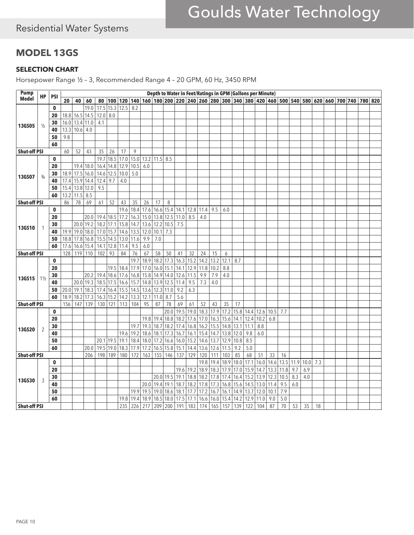### Residential Water Systems

### **MODEL 13GS**

#### **SELECTION CHART**

Horsepower Range ½ – 3, Recommended Range 4 – 20 GPM, 60 Hz, 3450 RPM

| <b>Pump</b>         |                |             |      |                |           |            |             |                |      |                    |      |             |      | Depth to Water in Feet/Ratings in GPM (Gallons per Minute)                                                            |      |             |      |      |                |      |      |      |      |            |    |  |         |  |
|---------------------|----------------|-------------|------|----------------|-----------|------------|-------------|----------------|------|--------------------|------|-------------|------|-----------------------------------------------------------------------------------------------------------------------|------|-------------|------|------|----------------|------|------|------|------|------------|----|--|---------|--|
| <b>Model</b>        | НP             | <b>PSI</b>  | 20   | 40             | 60        | 80         |             | 100 120        |      |                    |      |             |      | 140   160   180   200   220   240   260   280   300   340   380   420   460   500   540   580   620   660   700   740 |      |             |      |      |                |      |      |      |      |            |    |  | 780 820 |  |
|                     |                | 0           |      |                | 19.0      | 17.5       | 15.3        | 12.5           | 8.2  |                    |      |             |      |                                                                                                                       |      |             |      |      |                |      |      |      |      |            |    |  |         |  |
|                     |                | 20          | 18.8 | 16.5           | 14.5      | 12.0   8.0 |             |                |      |                    |      |             |      |                                                                                                                       |      |             |      |      |                |      |      |      |      |            |    |  |         |  |
|                     |                | 30          | 16.0 | 13.4           | 11.0      | 4.1        |             |                |      |                    |      |             |      |                                                                                                                       |      |             |      |      |                |      |      |      |      |            |    |  |         |  |
| 13GS05              | $\frac{1}{2}$  | 40          | 13.3 | 10.6           | 4.0       |            |             |                |      |                    |      |             |      |                                                                                                                       |      |             |      |      |                |      |      |      |      |            |    |  |         |  |
|                     |                | 50          | 9.8  |                |           |            |             |                |      |                    |      |             |      |                                                                                                                       |      |             |      |      |                |      |      |      |      |            |    |  |         |  |
|                     |                | 60          |      |                |           |            |             |                |      |                    |      |             |      |                                                                                                                       |      |             |      |      |                |      |      |      |      |            |    |  |         |  |
| <b>Shut-off PSI</b> |                |             | 60   | 52             | 43        | 35         | 26          | 17             | 9    |                    |      |             |      |                                                                                                                       |      |             |      |      |                |      |      |      |      |            |    |  |         |  |
|                     |                | 0           |      |                |           | 19.7       | 18.5        | 17.0           |      | 15.0 13.2 11.5 8.5 |      |             |      |                                                                                                                       |      |             |      |      |                |      |      |      |      |            |    |  |         |  |
|                     |                | 20          |      |                | 19.4 18.0 | 16.4       | 14.8        | 12.9           | 10.5 | 6.0                |      |             |      |                                                                                                                       |      |             |      |      |                |      |      |      |      |            |    |  |         |  |
|                     |                | 30          | 18.9 | 17.5           | 16.0      |            | 14.6 12.5   | 10.0           | 5.0  |                    |      |             |      |                                                                                                                       |      |             |      |      |                |      |      |      |      |            |    |  |         |  |
| 13GS07              | $\frac{3}{4}$  | 40          | 17.4 | 15.9           | 14.4      | $12.4$ 9.7 |             | 4.0            |      |                    |      |             |      |                                                                                                                       |      |             |      |      |                |      |      |      |      |            |    |  |         |  |
|                     |                | 50          |      | 15.4 13.8 12.0 |           | 9.5        |             |                |      |                    |      |             |      |                                                                                                                       |      |             |      |      |                |      |      |      |      |            |    |  |         |  |
|                     |                | 60          | 13.2 | 11.5           | 8.5       |            |             |                |      |                    |      |             |      |                                                                                                                       |      |             |      |      |                |      |      |      |      |            |    |  |         |  |
| <b>Shut-off PSI</b> |                |             | 86   | 78             | 69        | 61         | 52          | 43             | 35   | 26                 | 17   | 8           |      |                                                                                                                       |      |             |      |      |                |      |      |      |      |            |    |  |         |  |
|                     |                | 0           |      |                |           |            |             | 19.6           | 18.4 | 17.6               | 16.6 | 15.4        |      | $14.1$   12.8                                                                                                         | 11.4 | 9.5         | 6.0  |      |                |      |      |      |      |            |    |  |         |  |
|                     |                | 20          |      |                | 20.0      |            | 19.4 18.5   | 17.2           | 16.3 | 15.0               | 13.8 | 12.5        | 11.0 | 8.5                                                                                                                   | 4.0  |             |      |      |                |      |      |      |      |            |    |  |         |  |
|                     |                | 30          |      | 20.0           | 19.2      |            | 18.2 17.1   | 15.8           | 14.7 | 13.6               | 12.2 | 10.5        | 7.5  |                                                                                                                       |      |             |      |      |                |      |      |      |      |            |    |  |         |  |
| <b>13GS10</b>       |                | 40          | 19.9 | 19.0           | 18.0      |            | 17.0 15.7   | 14.6           | 13.5 | 12.0               | 10.1 | 7.3         |      |                                                                                                                       |      |             |      |      |                |      |      |      |      |            |    |  |         |  |
|                     |                | 50          | 18.8 | 17.8           | 16.8      |            | 15.5 14.5   | 13.0           | 11.6 | 9.9                | 7.0  |             |      |                                                                                                                       |      |             |      |      |                |      |      |      |      |            |    |  |         |  |
|                     |                | 60          | 17.6 | 16.6           | 15.4      |            | $14.1$ 12.8 | 11.4           | 9.5  | $6.0\,$            |      |             |      |                                                                                                                       |      |             |      |      |                |      |      |      |      |            |    |  |         |  |
| <b>Shut-off PSI</b> |                |             | 128  | 119            | 110       | 102        | 93          | 84             | 76   | 67                 | 58   | 50          | 41   | 32                                                                                                                    | 24   | 15          | 6    |      |                |      |      |      |      |            |    |  |         |  |
|                     |                | $\mathbf 0$ |      |                |           |            |             |                | 19.7 | 18.9               | 18.2 | 17.3        | 16.3 | 15.2                                                                                                                  | 14.2 | 13.2        | 12.1 | 8.7  |                |      |      |      |      |            |    |  |         |  |
|                     |                | 20          |      |                |           |            | 19.5        | 18.4           | 17.9 | 17.0               | 16.0 | 15.1        | 14.1 | 12.9                                                                                                                  | 11.8 | 10.2        | 8.8  |      |                |      |      |      |      |            |    |  |         |  |
|                     |                | 30          |      |                | 20.2      |            | 19.4 18.6   | 17.6           | 16.8 | 15.8               |      | 14.9 14.0   | 12.6 | 11.5                                                                                                                  | 9.9  | 7.9         | 4.0  |      |                |      |      |      |      |            |    |  |         |  |
| 13GS15              | $1\frac{1}{2}$ | 40          |      | 20.0           | 19.3      |            | 18.5 17.5   | 16.6           |      | $15.7$ 14.8        |      | 13.9 12.5   | 11.4 | 9.5                                                                                                                   | 7.3  | 4.0         |      |      |                |      |      |      |      |            |    |  |         |  |
|                     |                | 50          | 20.0 | 19.1           | 18.3      |            |             | 17.4 16.4 15.5 |      | $14.5$ 13.6        | 12.3 | 11.0        | 9.2  | 6.3                                                                                                                   |      |             |      |      |                |      |      |      |      |            |    |  |         |  |
|                     |                | 60          | 18.9 | 18.2           | 17.3      |            | 16.3 15.2   | 14.2           | 13.3 | 12.1               | 11.0 | 8.7         | 5.6  |                                                                                                                       |      |             |      |      |                |      |      |      |      |            |    |  |         |  |
| <b>Shut-off PSI</b> |                |             | 156  | 147            | 139       |            | 130 121     | 113            | 104  | 95                 | 87   | 78          | 69   | 61                                                                                                                    | 52   | 43          | 35   | 17   |                |      |      |      |      |            |    |  |         |  |
|                     |                | $\mathbf 0$ |      |                |           |            |             |                |      |                    |      | 20.0        | 19.5 | 19.0                                                                                                                  | 18.3 | 17.9        | 17.2 |      | 15.8 14.4 12.6 |      | 10.5 | 7.7  |      |            |    |  |         |  |
|                     |                | 20          |      |                |           |            |             |                |      | 19.8               | 19.4 | 18.8        | 18.2 | 17.6                                                                                                                  | 17.0 | 16.3        | 15.6 | 14.1 | 12.4           | 10.2 | 6.8  |      |      |            |    |  |         |  |
|                     |                | 30          |      |                |           |            |             |                | 19.7 | 19.3               | 18.7 | 18.2        | 17.4 | 16.8                                                                                                                  | 16.2 | 15.5        | 14.8 | 13.1 | 11.1           | 8.8  |      |      |      |            |    |  |         |  |
| <b>13GS20</b>       |                | 40          |      |                |           |            |             | 19.6           | 19.2 | 18.6               | 18.1 | 17.3        | 16.7 | 16.1                                                                                                                  |      | $15.4$ 14.7 | 13.8 | 12.0 | 9.8            | 6.0  |      |      |      |            |    |  |         |  |
|                     |                | 50          |      |                |           |            |             | 20.1 19.5 19.1 | 18.4 | 18.0               |      | 17.2 16.6   | 16.0 | $15.2$                                                                                                                |      | 14.6 13.7   | 12.9 | 10.8 | 8.5            |      |      |      |      |            |    |  |         |  |
|                     |                | 60          |      |                | 20.0      | 19.5       | 19.0        | 18.3           | 17.9 | 17.2               | 16.5 | 15.8        | 15.1 | 14.4                                                                                                                  | 13.6 | 12.6        | 11.5 | 9.2  | 5.0            |      |      |      |      |            |    |  |         |  |
| <b>Shut-off PSI</b> |                |             |      |                | 206       | 198        | 189         | 180            | 172  | 163                | 155  | 146         | 137  | 129                                                                                                                   | 120  | 111         | 103  | 85   | 68             | 51   | 33   | 16   |      |            |    |  |         |  |
|                     |                | $\mathbf 0$ |      |                |           |            |             |                |      |                    |      |             |      |                                                                                                                       | 19.8 | 19.4        | 18.9 | 18.0 | 17.1           | 16.0 | 14.6 | 13.5 | 11.9 | $10.0$ 7.3 |    |  |         |  |
|                     |                | 20          |      |                |           |            |             |                |      |                    |      |             | 19.6 | 19.2                                                                                                                  | 18.9 | 18.3        | 17.9 | 17.0 | 15.9           | 14.7 | 13.3 | 11.8 | 9.7  | 6.9        |    |  |         |  |
|                     |                | 30          |      |                |           |            |             |                |      |                    |      | $20.0$ 19.5 |      | 19.1 18.8                                                                                                             | 18.2 | 17.8        | 17.4 |      | 16.4 15.2 13.9 |      | 12.3 | 10.5 | 8.3  | 4.0        |    |  |         |  |
| 13GS30              | 3              | 40          |      |                |           |            |             |                |      | 20.0               | 19.4 | 19.1        | 18.7 | 18.2                                                                                                                  | 17.8 | 17.3        | 16.8 | 15.6 | 14.5           | 13.0 | 11.4 | 9.5  | 6.0  |            |    |  |         |  |
|                     |                | 50          |      |                |           |            |             |                | 19.9 | 19.5               | 19.0 | 18.6        |      | $18.1$ 17.7                                                                                                           | 17.2 | 16.7        | 16.1 |      | 14.9 13.7      | 12.0 | 10.1 | 7.9  |      |            |    |  |         |  |
|                     |                | 60          |      |                |           |            |             | 19.8           | 19.4 | 18.9               | 18.5 | 18.0        | 17.5 | 17.1                                                                                                                  | 16.6 | 16.0        | 15.4 | 14.2 | 12.9           | 11.0 | 9.0  | 5.0  |      |            |    |  |         |  |
| <b>Shut-off PSI</b> |                |             |      |                |           |            |             | 235            | 226  | 217                | 209  | 200         | 191  | 183                                                                                                                   | 174  | 165         | 157  | 139  | 122            | 104  | 87   | 70   | 53   | 35         | 18 |  |         |  |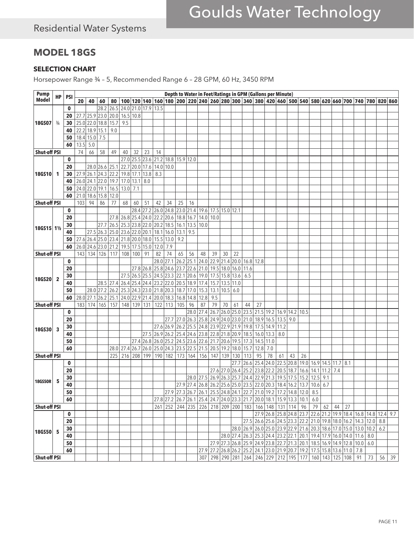### **MODEL 18GS**

#### **SELECTION CHART**

Horsepower Range ¾ – 5, Recommended Range 6 – 28 GPM, 60 Hz, 3450 RPM

| <b>Pump</b>         |               |              | Depth to Water in Feet/Ratings in GPM (Gallons per Minute)<br>100 120 140 160 180 200 200 200 240 260 280 300 340 380 420 460 500 540 580 620 660 700 740 780 820 860 |                     |                |      |                                                             |                |                                    |                     |           |             |      |                                                                                                                                                                                                                                                                                                       |     |                |      |           |                                                                                                |      |           |    |                   |            |                     |      |     |  |                                                                                             |                                   |
|---------------------|---------------|--------------|-----------------------------------------------------------------------------------------------------------------------------------------------------------------------|---------------------|----------------|------|-------------------------------------------------------------|----------------|------------------------------------|---------------------|-----------|-------------|------|-------------------------------------------------------------------------------------------------------------------------------------------------------------------------------------------------------------------------------------------------------------------------------------------------------|-----|----------------|------|-----------|------------------------------------------------------------------------------------------------|------|-----------|----|-------------------|------------|---------------------|------|-----|--|---------------------------------------------------------------------------------------------|-----------------------------------|
| <b>Model</b>        | НP            | <b>PSI</b>   | 20                                                                                                                                                                    | 40                  | 60             | 80   |                                                             |                |                                    |                     |           |             |      |                                                                                                                                                                                                                                                                                                       |     |                |      |           |                                                                                                |      |           |    |                   |            |                     |      |     |  |                                                                                             |                                   |
| 18GS07              |               | $\mathbf{0}$ |                                                                                                                                                                       |                     | 28.2           | 26.5 | $24.0$ 21.0                                                 |                | 17.9 13.5                          |                     |           |             |      |                                                                                                                                                                                                                                                                                                       |     |                |      |           |                                                                                                |      |           |    |                   |            |                     |      |     |  |                                                                                             |                                   |
|                     |               | 20           |                                                                                                                                                                       | 27.7 25.9 23.0      |                | 20.0 | 16.5                                                        | 10.8           |                                    |                     |           |             |      |                                                                                                                                                                                                                                                                                                       |     |                |      |           |                                                                                                |      |           |    |                   |            |                     |      |     |  |                                                                                             |                                   |
|                     | $\frac{3}{4}$ | 30           |                                                                                                                                                                       | 25.0 22.0           | 18.8 15.7      |      | 9.5                                                         |                |                                    |                     |           |             |      |                                                                                                                                                                                                                                                                                                       |     |                |      |           |                                                                                                |      |           |    |                   |            |                     |      |     |  |                                                                                             |                                   |
|                     |               | 40           | 22.2                                                                                                                                                                  | 18.9 15.1           |                | 9.0  |                                                             |                |                                    |                     |           |             |      |                                                                                                                                                                                                                                                                                                       |     |                |      |           |                                                                                                |      |           |    |                   |            |                     |      |     |  |                                                                                             |                                   |
|                     |               | 50           |                                                                                                                                                                       | 18.4 15.0           | 7.5            |      |                                                             |                |                                    |                     |           |             |      |                                                                                                                                                                                                                                                                                                       |     |                |      |           |                                                                                                |      |           |    |                   |            |                     |      |     |  |                                                                                             |                                   |
|                     |               | 60           | 13.5                                                                                                                                                                  | 5.0                 |                |      |                                                             |                |                                    |                     |           |             |      |                                                                                                                                                                                                                                                                                                       |     |                |      |           |                                                                                                |      |           |    |                   |            |                     |      |     |  |                                                                                             |                                   |
| <b>Shut-off PSI</b> |               |              | 74                                                                                                                                                                    | 66                  | 58             | 49   | 40                                                          | 32             | 23                                 | 14                  |           |             |      |                                                                                                                                                                                                                                                                                                       |     |                |      |           |                                                                                                |      |           |    |                   |            |                     |      |     |  |                                                                                             |                                   |
|                     |               | $\mathbf 0$  |                                                                                                                                                                       |                     |                |      |                                                             |                | 27.0 25.5 23.6 21.2 18.8 15.9 12.0 |                     |           |             |      |                                                                                                                                                                                                                                                                                                       |     |                |      |           |                                                                                                |      |           |    |                   |            |                     |      |     |  |                                                                                             |                                   |
|                     |               | 20           |                                                                                                                                                                       |                     | 28.0 26.6 25.1 |      |                                                             | 22.7 20.0 17.6 |                                    | 14.0 10.0           |           |             |      |                                                                                                                                                                                                                                                                                                       |     |                |      |           |                                                                                                |      |           |    |                   |            |                     |      |     |  |                                                                                             |                                   |
| <b>18GS10</b>       |               | 30           |                                                                                                                                                                       |                     |                |      | 27.9 26.1 24.3 22.2 19.8 17.1 13.8                          |                |                                    | 8.3                 |           |             |      |                                                                                                                                                                                                                                                                                                       |     |                |      |           |                                                                                                |      |           |    |                   |            |                     |      |     |  |                                                                                             |                                   |
|                     |               | 40           |                                                                                                                                                                       | 26.0 24.1 22.0 19.7 |                |      | 17.0 13.1 8.0                                               |                |                                    |                     |           |             |      |                                                                                                                                                                                                                                                                                                       |     |                |      |           |                                                                                                |      |           |    |                   |            |                     |      |     |  |                                                                                             |                                   |
|                     |               | 50           |                                                                                                                                                                       | 24.0 22.0           | 19.1 16.5      |      | 13.0                                                        | 7.1            |                                    |                     |           |             |      |                                                                                                                                                                                                                                                                                                       |     |                |      |           |                                                                                                |      |           |    |                   |            |                     |      |     |  |                                                                                             |                                   |
|                     |               | 60           | 21.0                                                                                                                                                                  |                     | 18.6 15.8 12.0 |      |                                                             |                |                                    |                     |           |             |      |                                                                                                                                                                                                                                                                                                       |     |                |      |           |                                                                                                |      |           |    |                   |            |                     |      |     |  |                                                                                             |                                   |
| <b>Shut-off PSI</b> |               |              | 103                                                                                                                                                                   | 94                  | 86             | 77   | 68                                                          | 60             | 51                                 | 42                  | 34        | 25          | 16   |                                                                                                                                                                                                                                                                                                       |     |                |      |           |                                                                                                |      |           |    |                   |            |                     |      |     |  |                                                                                             |                                   |
|                     |               | $\mathbf 0$  |                                                                                                                                                                       |                     |                |      |                                                             |                | 28.4 27.2 26.0 24.8                |                     |           |             |      |                                                                                                                                                                                                                                                                                                       |     |                |      |           |                                                                                                |      |           |    |                   |            |                     |      |     |  |                                                                                             |                                   |
|                     |               | 20           |                                                                                                                                                                       |                     |                |      | 27.8 26.8 25.4 24.0 22.2 20.6 18.8 16.7                     |                |                                    |                     |           |             |      | 23.0 21.4 19.6<br>17.5 15.0 12.1<br> 14.0 <br>10.0<br>16.1 13.5 10.0<br>39<br>22<br>48<br>30<br>24.0 22.9 21.4 20.0 16.8 12.8<br>19.5<br>18.0<br>16.0<br>21.0<br>11.6<br>19.0<br>17.5 15.8<br>$13.6$ 6.5<br>25.4 24.4 23.2 22.0 20.5 18.9 17.4<br>13.5<br>15.7<br>11.0<br>15.3<br>10.5<br>13.1<br>6.0 |     |                |      |           |                                                                                                |      |           |    |                   |            |                     |      |     |  |                                                                                             |                                   |
| <b>18GS15 11/2</b>  |               | 30           |                                                                                                                                                                       |                     | 27.7           | 26.5 |                                                             |                | 25.3 23.8 22.0 20.2 18.5           |                     |           |             |      |                                                                                                                                                                                                                                                                                                       |     |                |      |           |                                                                                                |      |           |    |                   |            |                     |      |     |  |                                                                                             |                                   |
|                     |               | 40           |                                                                                                                                                                       |                     | $27.5$ 26.3    |      | 25.0 23.6 22.0 20.1 18.1 16.0                               |                |                                    |                     |           | 13.1        | 9.5  |                                                                                                                                                                                                                                                                                                       |     |                |      |           |                                                                                                |      |           |    |                   |            |                     |      |     |  |                                                                                             |                                   |
|                     |               | 50           |                                                                                                                                                                       |                     |                |      | 27.6 26.4 25.0 23.4 21.8 20.0 18.0                          |                |                                    | 15.5 13.0           |           | 9.2         |      |                                                                                                                                                                                                                                                                                                       |     |                |      |           |                                                                                                |      |           |    |                   |            |                     |      |     |  |                                                                                             |                                   |
|                     |               | 60           |                                                                                                                                                                       |                     |                |      | 26.0 24.6 23.0 21.2 19.5 17.5 15.0                          |                |                                    | $12.0$ 7.9          |           |             |      |                                                                                                                                                                                                                                                                                                       |     |                |      |           |                                                                                                |      |           |    |                   |            |                     |      |     |  |                                                                                             |                                   |
| <b>Shut-off PSI</b> |               |              | 143                                                                                                                                                                   |                     | 134 126 117    |      | 108                                                         | 100            | 91                                 | 82                  | 74        | 65          | 56   |                                                                                                                                                                                                                                                                                                       |     |                |      |           |                                                                                                |      |           |    |                   |            |                     |      |     |  |                                                                                             |                                   |
|                     |               | $\mathbf 0$  |                                                                                                                                                                       |                     |                |      |                                                             |                |                                    | 28.0 27.1           |           | $26.2$ 25.1 |      |                                                                                                                                                                                                                                                                                                       |     |                |      |           |                                                                                                |      |           |    |                   |            |                     |      |     |  |                                                                                             |                                   |
|                     | $\mathbf{2}$  | 20           |                                                                                                                                                                       |                     |                |      |                                                             |                | $27.8$ 26.8                        | 25.8 24.6           |           | 23.7   22.6 |      |                                                                                                                                                                                                                                                                                                       |     |                |      |           |                                                                                                |      |           |    |                   |            |                     |      |     |  |                                                                                             |                                   |
|                     |               | 30           |                                                                                                                                                                       |                     |                |      |                                                             |                | 27.5 26.5 25.5 24.5 23.3 22.1      |                     |           |             | 20.6 |                                                                                                                                                                                                                                                                                                       |     |                |      |           |                                                                                                |      |           |    |                   |            |                     |      |     |  |                                                                                             |                                   |
| 18GS20              |               | 40           |                                                                                                                                                                       |                     |                |      | 28.5 27.4 26.4                                              |                |                                    |                     |           |             |      |                                                                                                                                                                                                                                                                                                       |     |                |      |           |                                                                                                |      |           |    |                   |            |                     |      |     |  |                                                                                             |                                   |
|                     |               | 50           |                                                                                                                                                                       |                     |                |      | 28.0 27.2 26.2 25.3 24.3 23.0 21.8 20.3                     |                |                                    |                     |           | 18.7        | 17.0 |                                                                                                                                                                                                                                                                                                       |     |                |      |           |                                                                                                |      |           |    |                   |            |                     |      |     |  |                                                                                             |                                   |
|                     |               | 60           |                                                                                                                                                                       |                     |                |      | 28.0 27.1 26.2 25.1 24.0 22.9 21.4 20.0 18.3 16.8 14.8 12.8 |                |                                    |                     |           |             |      |                                                                                                                                                                                                                                                                                                       | 9.5 |                |      |           |                                                                                                |      |           |    |                   |            |                     |      |     |  |                                                                                             |                                   |
| <b>Shut-off PSI</b> |               |              | 183                                                                                                                                                                   | 174                 | 165            | 157  | 148                                                         | 139            | 131                                |                     | $122$ 113 | 105         | 96   | 87                                                                                                                                                                                                                                                                                                    | 79  | 70             | 61   | 44        | 27                                                                                             |      |           |    |                   |            |                     |      |     |  |                                                                                             |                                   |
|                     |               | $\mathbf 0$  |                                                                                                                                                                       |                     |                |      |                                                             |                |                                    |                     |           |             | 28.0 | 27.4                                                                                                                                                                                                                                                                                                  |     |                |      |           | 26.7 26.0 25.0 23.5 21.5 19.2 16.9 14.2 10.5                                                   |      |           |    |                   |            |                     |      |     |  |                                                                                             |                                   |
|                     |               | 20           |                                                                                                                                                                       |                     |                |      |                                                             |                |                                    |                     |           |             |      |                                                                                                                                                                                                                                                                                                       |     |                |      |           | 27.7 27.0 26.3 25.8 24.9 24.0 23.0 21.0 18.9 16.5 13.5 9.0                                     |      |           |    |                   |            |                     |      |     |  |                                                                                             |                                   |
|                     |               | 30           |                                                                                                                                                                       |                     |                |      |                                                             |                |                                    |                     |           |             |      |                                                                                                                                                                                                                                                                                                       |     |                |      |           | 27.6 26.9 26.2 25.5 24.8 23.9 22.9 21.9 19.8 17.5 14.9                                         |      | 11.2      |    |                   |            |                     |      |     |  |                                                                                             |                                   |
| 18GS30              | 3             | 40           |                                                                                                                                                                       |                     |                |      |                                                             |                | 27.5                               |                     |           |             |      |                                                                                                                                                                                                                                                                                                       |     |                |      |           | 26.9 26.2 25.4 24.6 23.8 22.8 21.8 20.9 18.5 16.0 13.3 8.0                                     |      |           |    |                   |            |                     |      |     |  |                                                                                             |                                   |
|                     |               | 50           |                                                                                                                                                                       |                     |                |      |                                                             |                | 27.4 26.8                          |                     |           |             |      |                                                                                                                                                                                                                                                                                                       |     |                |      |           | $26.0$  25.2   24.5   23.6   22.6   21.7   20.6   19.5   17.3   14.5   11.0                    |      |           |    |                   |            |                     |      |     |  |                                                                                             |                                   |
|                     |               | 60           |                                                                                                                                                                       |                     |                | 28.0 | 27.4 26.7 26.0                                              |                |                                    | 25.0 24.3 23.5 22.5 |           |             |      |                                                                                                                                                                                                                                                                                                       |     |                |      |           | $\left  21.5 \right  20.5 \left  19.2 \right  18.0 \left  15.7 \right  12.8 \left $            | 7.0  |           |    |                   |            |                     |      |     |  |                                                                                             |                                   |
| <b>Shut-off PSI</b> |               |              |                                                                                                                                                                       |                     |                | 225  | 216                                                         |                | 208 199                            | 190 182             |           |             |      | 173   164   156                                                                                                                                                                                                                                                                                       |     | 147   139      | 130  | 113       | 95                                                                                             | 78   | 61        | 43 | 26                |            |                     |      |     |  |                                                                                             |                                   |
|                     |               | $\mathbf 0$  |                                                                                                                                                                       |                     |                |      |                                                             |                |                                    |                     |           |             |      |                                                                                                                                                                                                                                                                                                       |     |                | 27.7 | 26.6 25.4 |                                                                                                | 24.0 | 22.5 20.8 |    | 19.0              |            | 16.9 14.5           | 11.7 | 8.1 |  |                                                                                             |                                   |
|                     |               | 20           |                                                                                                                                                                       |                     |                |      |                                                             |                |                                    |                     |           |             |      |                                                                                                                                                                                                                                                                                                       |     | 27.6 27.0 26.4 |      |           | 25.2 23.8 22.2 20.5 18.7                                                                       |      |           |    | 16.6              |            | $14.1$   11.2   7.4 |      |     |  |                                                                                             |                                   |
|                     |               | 30           |                                                                                                                                                                       |                     |                |      |                                                             |                |                                    |                     |           |             |      | 28.0 27.5 26.9 26.3 25.7                                                                                                                                                                                                                                                                              |     |                |      |           | $24.4$ 22.9 21.3                                                                               |      | 19.5 17.5 |    | 15.2              | $12.5$ 9.1 |                     |      |     |  |                                                                                             |                                   |
| <b>18GS50R</b>      | 5             | 40           |                                                                                                                                                                       |                     |                |      |                                                             |                |                                    |                     |           |             |      |                                                                                                                                                                                                                                                                                                       |     |                |      |           | 27.9 27.4 26.8 26.2 25.6 25.0 23.5 22.0 20.3 18.4 16.2                                         |      |           |    | $ 13.7 10.6 $ 6.7 |            |                     |      |     |  |                                                                                             |                                   |
|                     |               | ${\bf 50}$   |                                                                                                                                                                       |                     |                |      |                                                             |                |                                    |                     |           |             |      |                                                                                                                                                                                                                                                                                                       |     |                |      |           | 27.9 27.3 26.7 26.1 25.5 24.8 24.1 22.7 21.0 19.2 17.2 14.8 12.0 8.5                           |      |           |    |                   |            |                     |      |     |  |                                                                                             |                                   |
|                     |               | 60           |                                                                                                                                                                       |                     |                |      |                                                             |                |                                    |                     |           |             |      |                                                                                                                                                                                                                                                                                                       |     |                |      |           | 27.8 27.2 26.7 26.1 25.4 24.7 24.0 23.3 21.7 20.0 18.1 15.9 13.3 10.1 6.0                      |      |           |    |                   |            |                     |      |     |  |                                                                                             |                                   |
| <b>Shut-off PSI</b> |               |              |                                                                                                                                                                       |                     |                |      |                                                             |                |                                    |                     |           |             |      |                                                                                                                                                                                                                                                                                                       |     |                |      |           | 261 252 244 235 226 218 209 200 183 166 148 131 114 96 79 62 44 27                             |      |           |    |                   |            |                     |      |     |  |                                                                                             |                                   |
|                     |               | $\mathbf 0$  |                                                                                                                                                                       |                     |                |      |                                                             |                |                                    |                     |           |             |      |                                                                                                                                                                                                                                                                                                       |     |                |      |           |                                                                                                |      |           |    |                   |            |                     |      |     |  | $\sqrt{27.9\,26.8\,25.8\,24.8\,23.7\,22.6\,21.2\,19.9\,18.4\,16.8\,14.8\,12.4\,9.7}$        |                                   |
|                     |               | 20           |                                                                                                                                                                       |                     |                |      |                                                             |                |                                    |                     |           |             |      |                                                                                                                                                                                                                                                                                                       |     |                |      |           |                                                                                                |      |           |    |                   |            |                     |      |     |  | 27.5 26.6 25.6 24.5 23.3 22.2 21.0 19.8 18.0 16.2 14.3 12.0 8.8                             |                                   |
|                     |               | 30           |                                                                                                                                                                       |                     |                |      |                                                             |                |                                    |                     |           |             |      |                                                                                                                                                                                                                                                                                                       |     |                |      |           |                                                                                                |      |           |    |                   |            |                     |      |     |  | 28.0 26.9 26.0 25.0 23.9 22.9 21.6 20.3 18.6 17.0 15.0 13.0 10.2 6.2                        |                                   |
| 18GS50              | 5             | 40           |                                                                                                                                                                       |                     |                |      |                                                             |                |                                    |                     |           |             |      |                                                                                                                                                                                                                                                                                                       |     |                |      |           | $28.0$  27.4  26.3   25.3   24.4   23.2   22.1   20.1   19.4   17.9   16.0   14.0   11.6   8.0 |      |           |    |                   |            |                     |      |     |  |                                                                                             |                                   |
|                     |               | 50           |                                                                                                                                                                       |                     |                |      |                                                             |                |                                    |                     |           |             |      |                                                                                                                                                                                                                                                                                                       |     |                |      |           | 27.9 27.3 26.8 25.9 24.9 23.8 22.7 21.3 20.1 18.5 16.9 14.9 12.8 10.0 6.0                      |      |           |    |                   |            |                     |      |     |  |                                                                                             |                                   |
|                     |               | 60           |                                                                                                                                                                       |                     |                |      |                                                             |                |                                    |                     |           |             |      |                                                                                                                                                                                                                                                                                                       |     |                |      |           | 27.9 27.2 26.8 26.2 25.2 24.1 23.0 21.9 20.7 19.2 17.5 15.8 13.6 11.0 7.8                      |      |           |    |                   |            |                     |      |     |  |                                                                                             |                                   |
| <b>Shut-off PSI</b> |               |              |                                                                                                                                                                       |                     |                |      |                                                             |                |                                    |                     |           |             |      |                                                                                                                                                                                                                                                                                                       |     |                |      |           |                                                                                                |      |           |    |                   |            |                     |      |     |  | 307   298   290   281   264   246   229   212   195   177   160   143   125   108   91   73 | $56 \overline{\smash{\big)}\ 39}$ |
|                     |               |              |                                                                                                                                                                       |                     |                |      |                                                             |                |                                    |                     |           |             |      |                                                                                                                                                                                                                                                                                                       |     |                |      |           |                                                                                                |      |           |    |                   |            |                     |      |     |  |                                                                                             |                                   |